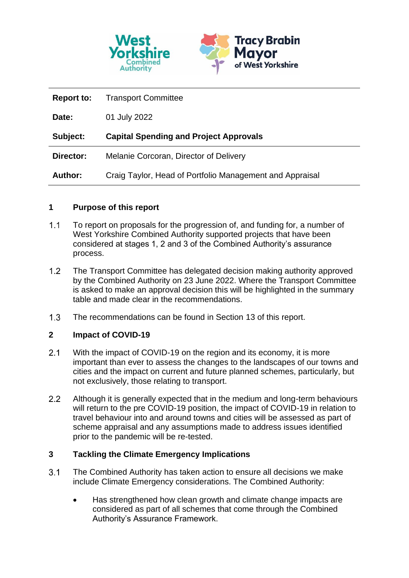

| <b>Report to:</b> | <b>Transport Committee</b>                               |
|-------------------|----------------------------------------------------------|
| Date:             | 01 July 2022                                             |
| Subject:          | <b>Capital Spending and Project Approvals</b>            |
| Director:         | Melanie Corcoran, Director of Delivery                   |
| <b>Author:</b>    | Craig Taylor, Head of Portfolio Management and Appraisal |

### **1 Purpose of this report**

- $1.1$ To report on proposals for the progression of, and funding for, a number of West Yorkshire Combined Authority supported projects that have been considered at stages 1, 2 and 3 of the Combined Authority's assurance process.
- $1.2$ The Transport Committee has delegated decision making authority approved by the Combined Authority on 23 June 2022. Where the Transport Committee is asked to make an approval decision this will be highlighted in the summary table and made clear in the recommendations.
- $1.3$ The recommendations can be found in Section 13 of this report.

### **2 Impact of COVID-19**

- $2.1$ With the impact of COVID-19 on the region and its economy, it is more important than ever to assess the changes to the landscapes of our towns and cities and the impact on current and future planned schemes, particularly, but not exclusively, those relating to transport.
- $2.2$ Although it is generally expected that in the medium and long-term behaviours will return to the pre COVID-19 position, the impact of COVID-19 in relation to travel behaviour into and around towns and cities will be assessed as part of scheme appraisal and any assumptions made to address issues identified prior to the pandemic will be re-tested.

### **3 Tackling the Climate Emergency Implications**

- $3.1$ The Combined Authority has taken action to ensure all decisions we make include Climate Emergency considerations. The Combined Authority:
	- Has strengthened how clean growth and climate change impacts are considered as part of all schemes that come through the Combined Authority's Assurance Framework.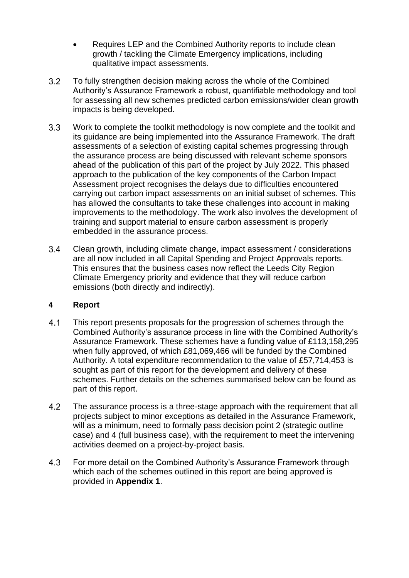- Requires LEP and the Combined Authority reports to include clean growth / tackling the Climate Emergency implications, including qualitative impact assessments.
- $3.2$ To fully strengthen decision making across the whole of the Combined Authority's Assurance Framework a robust, quantifiable methodology and tool for assessing all new schemes predicted carbon emissions/wider clean growth impacts is being developed.
- $3.3$ Work to complete the toolkit methodology is now complete and the toolkit and its guidance are being implemented into the Assurance Framework. The draft assessments of a selection of existing capital schemes progressing through the assurance process are being discussed with relevant scheme sponsors ahead of the publication of this part of the project by July 2022. This phased approach to the publication of the key components of the Carbon Impact Assessment project recognises the delays due to difficulties encountered carrying out carbon impact assessments on an initial subset of schemes. This has allowed the consultants to take these challenges into account in making improvements to the methodology. The work also involves the development of training and support material to ensure carbon assessment is properly embedded in the assurance process.
- $3.4$ Clean growth, including climate change, impact assessment / considerations are all now included in all Capital Spending and Project Approvals reports. This ensures that the business cases now reflect the Leeds City Region Climate Emergency priority and evidence that they will reduce carbon emissions (both directly and indirectly).

### **4 Report**

- $4.1$ This report presents proposals for the progression of schemes through the Combined Authority's assurance process in line with the Combined Authority's Assurance Framework. These schemes have a funding value of £113,158,295 when fully approved, of which £81,069,466 will be funded by the Combined Authority. A total expenditure recommendation to the value of £57,714,453 is sought as part of this report for the development and delivery of these schemes. Further details on the schemes summarised below can be found as part of this report.
- $4.2$ The assurance process is a three-stage approach with the requirement that all projects subject to minor exceptions as detailed in the Assurance Framework, will as a minimum, need to formally pass decision point 2 (strategic outline case) and 4 (full business case), with the requirement to meet the intervening activities deemed on a project-by-project basis.
- $4.3$ For more detail on the Combined Authority's Assurance Framework through which each of the schemes outlined in this report are being approved is provided in **Appendix 1**.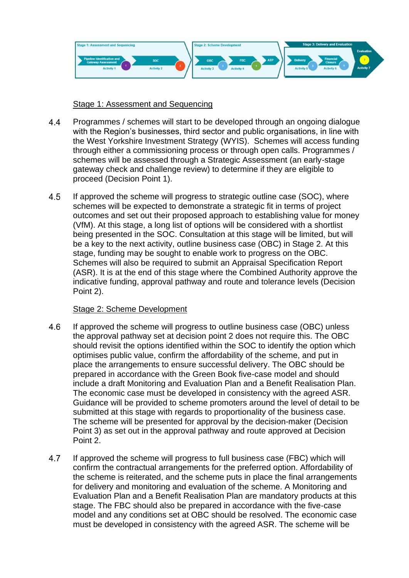

### Stage 1: Assessment and Sequencing

- 44 Programmes / schemes will start to be developed through an ongoing dialogue with the Region's businesses, third sector and public organisations, in line with the West Yorkshire Investment Strategy (WYIS). Schemes will access funding through either a commissioning process or through open calls. Programmes / schemes will be assessed through a Strategic Assessment (an early-stage gateway check and challenge review) to determine if they are eligible to proceed (Decision Point 1).
- 4.5 If approved the scheme will progress to strategic outline case (SOC), where schemes will be expected to demonstrate a strategic fit in terms of project outcomes and set out their proposed approach to establishing value for money (VfM). At this stage, a long list of options will be considered with a shortlist being presented in the SOC. Consultation at this stage will be limited, but will be a key to the next activity, outline business case (OBC) in Stage 2. At this stage, funding may be sought to enable work to progress on the OBC. Schemes will also be required to submit an Appraisal Specification Report (ASR). It is at the end of this stage where the Combined Authority approve the indicative funding, approval pathway and route and tolerance levels (Decision Point 2).

### Stage 2: Scheme Development

- 4.6 If approved the scheme will progress to outline business case (OBC) unless the approval pathway set at decision point 2 does not require this. The OBC should revisit the options identified within the SOC to identify the option which optimises public value, confirm the affordability of the scheme, and put in place the arrangements to ensure successful delivery. The OBC should be prepared in accordance with the Green Book five-case model and should include a draft Monitoring and Evaluation Plan and a Benefit Realisation Plan. The economic case must be developed in consistency with the agreed ASR. Guidance will be provided to scheme promoters around the level of detail to be submitted at this stage with regards to proportionality of the business case. The scheme will be presented for approval by the decision-maker (Decision Point 3) as set out in the approval pathway and route approved at Decision Point 2.
- 4.7 If approved the scheme will progress to full business case (FBC) which will confirm the contractual arrangements for the preferred option. Affordability of the scheme is reiterated, and the scheme puts in place the final arrangements for delivery and monitoring and evaluation of the scheme. A Monitoring and Evaluation Plan and a Benefit Realisation Plan are mandatory products at this stage. The FBC should also be prepared in accordance with the five-case model and any conditions set at OBC should be resolved. The economic case must be developed in consistency with the agreed ASR. The scheme will be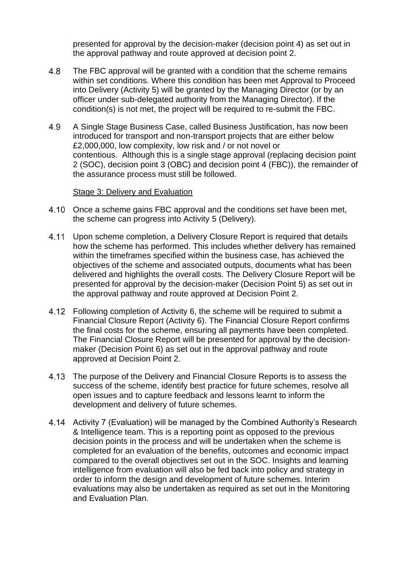presented for approval by the decision-maker (decision point 4) as set out in the approval pathway and route approved at decision point 2.

- 4.8 The FBC approval will be granted with a condition that the scheme remains within set conditions. Where this condition has been met Approval to Proceed into Delivery (Activity 5) will be granted by the Managing Director (or by an officer under sub-delegated authority from the Managing Director). If the condition(s) is not met, the project will be required to re-submit the FBC.
- 4.9 A Single Stage Business Case, called Business Justification, has now been introduced for transport and non-transport projects that are either below £2,000,000, low complexity, low risk and / or not novel or contentious. Although this is a single stage approval (replacing decision point 2 (SOC), decision point 3 (OBC) and decision point 4 (FBC)), the remainder of the assurance process must still be followed.

### Stage 3: Delivery and Evaluation

- 4.10 Once a scheme gains FBC approval and the conditions set have been met, the scheme can progress into Activity 5 (Delivery).
- 4.11 Upon scheme completion, a Delivery Closure Report is required that details how the scheme has performed. This includes whether delivery has remained within the timeframes specified within the business case, has achieved the objectives of the scheme and associated outputs, documents what has been delivered and highlights the overall costs. The Delivery Closure Report will be presented for approval by the decision-maker (Decision Point 5) as set out in the approval pathway and route approved at Decision Point 2.
- Following completion of Activity 6, the scheme will be required to submit a Financial Closure Report (Activity 6). The Financial Closure Report confirms the final costs for the scheme, ensuring all payments have been completed. The Financial Closure Report will be presented for approval by the decisionmaker (Decision Point 6) as set out in the approval pathway and route approved at Decision Point 2.
- The purpose of the Delivery and Financial Closure Reports is to assess the success of the scheme, identify best practice for future schemes, resolve all open issues and to capture feedback and lessons learnt to inform the development and delivery of future schemes.
- Activity 7 (Evaluation) will be managed by the Combined Authority's Research & Intelligence team. This is a reporting point as opposed to the previous decision points in the process and will be undertaken when the scheme is completed for an evaluation of the benefits, outcomes and economic impact compared to the overall objectives set out in the SOC. Insights and learning intelligence from evaluation will also be fed back into policy and strategy in order to inform the design and development of future schemes. Interim evaluations may also be undertaken as required as set out in the Monitoring and Evaluation Plan.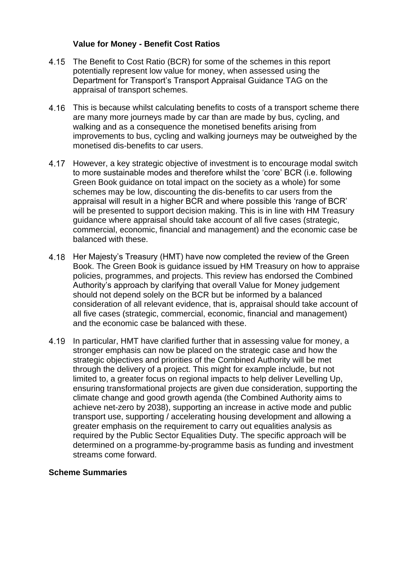### **Value for Money - Benefit Cost Ratios**

- 4.15 The Benefit to Cost Ratio (BCR) for some of the schemes in this report potentially represent low value for money, when assessed using the Department for Transport's Transport Appraisal Guidance TAG on the appraisal of transport schemes.
- This is because whilst calculating benefits to costs of a transport scheme there are many more journeys made by car than are made by bus, cycling, and walking and as a consequence the monetised benefits arising from improvements to bus, cycling and walking journeys may be outweighed by the monetised dis-benefits to car users.
- 4.17 However, a key strategic objective of investment is to encourage modal switch to more sustainable modes and therefore whilst the 'core' BCR (i.e. following Green Book guidance on total impact on the society as a whole) for some schemes may be low, discounting the dis-benefits to car users from the appraisal will result in a higher BCR and where possible this 'range of BCR' will be presented to support decision making. This is in line with HM Treasury guidance where appraisal should take account of all five cases (strategic, commercial, economic, financial and management) and the economic case be balanced with these.
- 4.18 Her Majesty's Treasury (HMT) have now completed the review of the Green Book. The Green Book is guidance issued by HM Treasury on how to appraise policies, programmes, and projects. This review has endorsed the Combined Authority's approach by clarifying that overall Value for Money judgement should not depend solely on the BCR but be informed by a balanced consideration of all relevant evidence, that is, appraisal should take account of all five cases (strategic, commercial, economic, financial and management) and the economic case be balanced with these.
- In particular, HMT have clarified further that in assessing value for money, a stronger emphasis can now be placed on the strategic case and how the strategic objectives and priorities of the Combined Authority will be met through the delivery of a project. This might for example include, but not limited to, a greater focus on regional impacts to help deliver Levelling Up, ensuring transformational projects are given due consideration, supporting the climate change and good growth agenda (the Combined Authority aims to achieve net-zero by 2038), supporting an increase in active mode and public transport use, supporting / accelerating housing development and allowing a greater emphasis on the requirement to carry out equalities analysis as required by the Public Sector Equalities Duty. The specific approach will be determined on a programme-by-programme basis as funding and investment streams come forward.

### **Scheme Summaries**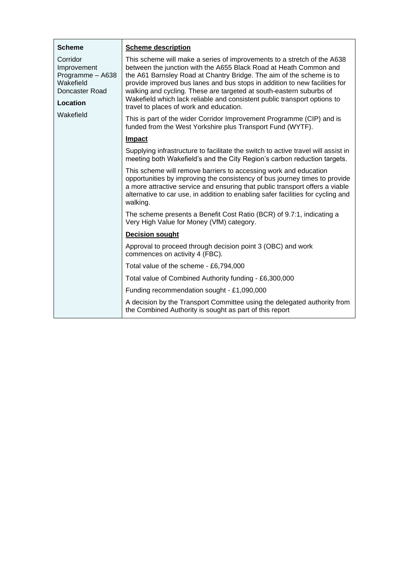| <b>Scheme</b>                                                                                       | <b>Scheme description</b>                                                                                                                                                                                                                                                                                                                                                                                                                                                                        |  |
|-----------------------------------------------------------------------------------------------------|--------------------------------------------------------------------------------------------------------------------------------------------------------------------------------------------------------------------------------------------------------------------------------------------------------------------------------------------------------------------------------------------------------------------------------------------------------------------------------------------------|--|
| Corridor<br>Improvement<br>Programme - A638<br>Wakefield<br>Doncaster Road<br>Location<br>Wakefield | This scheme will make a series of improvements to a stretch of the A638<br>between the junction with the A655 Black Road at Heath Common and<br>the A61 Barnsley Road at Chantry Bridge. The aim of the scheme is to<br>provide improved bus lanes and bus stops in addition to new facilities for<br>walking and cycling. These are targeted at south-eastern suburbs of<br>Wakefield which lack reliable and consistent public transport options to<br>travel to places of work and education. |  |
|                                                                                                     | This is part of the wider Corridor Improvement Programme (CIP) and is<br>funded from the West Yorkshire plus Transport Fund (WYTF).                                                                                                                                                                                                                                                                                                                                                              |  |
|                                                                                                     | Impact                                                                                                                                                                                                                                                                                                                                                                                                                                                                                           |  |
|                                                                                                     | Supplying infrastructure to facilitate the switch to active travel will assist in<br>meeting both Wakefield's and the City Region's carbon reduction targets.                                                                                                                                                                                                                                                                                                                                    |  |
|                                                                                                     | This scheme will remove barriers to accessing work and education<br>opportunities by improving the consistency of bus journey times to provide<br>a more attractive service and ensuring that public transport offers a viable<br>alternative to car use, in addition to enabling safer facilities for cycling and<br>walking.                                                                                                                                                                   |  |
|                                                                                                     | The scheme presents a Benefit Cost Ratio (BCR) of 9.7:1, indicating a<br>Very High Value for Money (VfM) category.                                                                                                                                                                                                                                                                                                                                                                               |  |
|                                                                                                     | <b>Decision sought</b>                                                                                                                                                                                                                                                                                                                                                                                                                                                                           |  |
|                                                                                                     | Approval to proceed through decision point 3 (OBC) and work<br>commences on activity 4 (FBC).                                                                                                                                                                                                                                                                                                                                                                                                    |  |
|                                                                                                     | Total value of the scheme - £6,794,000                                                                                                                                                                                                                                                                                                                                                                                                                                                           |  |
|                                                                                                     | Total value of Combined Authority funding - £6,300,000                                                                                                                                                                                                                                                                                                                                                                                                                                           |  |
|                                                                                                     | Funding recommendation sought - £1,090,000                                                                                                                                                                                                                                                                                                                                                                                                                                                       |  |
|                                                                                                     | A decision by the Transport Committee using the delegated authority from<br>the Combined Authority is sought as part of this report                                                                                                                                                                                                                                                                                                                                                              |  |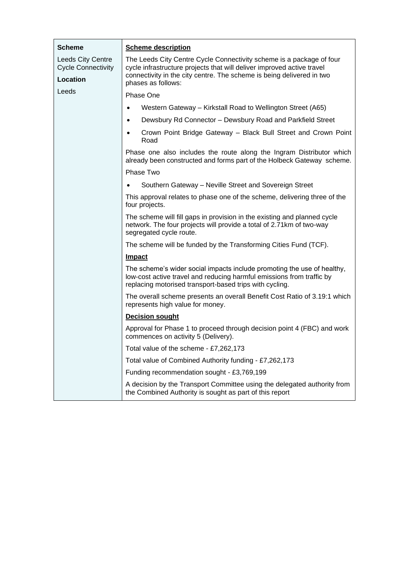| <b>Scheme</b>                                         | <b>Scheme description</b>                                                                                                                                                                                   |  |
|-------------------------------------------------------|-------------------------------------------------------------------------------------------------------------------------------------------------------------------------------------------------------------|--|
| <b>Leeds City Centre</b><br><b>Cycle Connectivity</b> | The Leeds City Centre Cycle Connectivity scheme is a package of four<br>cycle infrastructure projects that will deliver improved active travel                                                              |  |
| Location                                              | connectivity in the city centre. The scheme is being delivered in two<br>phases as follows:                                                                                                                 |  |
| Leeds                                                 | Phase One                                                                                                                                                                                                   |  |
|                                                       | Western Gateway - Kirkstall Road to Wellington Street (A65)<br>$\bullet$                                                                                                                                    |  |
|                                                       | Dewsbury Rd Connector - Dewsbury Road and Parkfield Street<br>$\bullet$                                                                                                                                     |  |
|                                                       | Crown Point Bridge Gateway - Black Bull Street and Crown Point<br>$\bullet$<br>Road                                                                                                                         |  |
|                                                       | Phase one also includes the route along the Ingram Distributor which<br>already been constructed and forms part of the Holbeck Gateway scheme.                                                              |  |
|                                                       | Phase Two                                                                                                                                                                                                   |  |
|                                                       | Southern Gateway - Neville Street and Sovereign Street                                                                                                                                                      |  |
|                                                       | This approval relates to phase one of the scheme, delivering three of the<br>four projects.                                                                                                                 |  |
|                                                       | The scheme will fill gaps in provision in the existing and planned cycle<br>network. The four projects will provide a total of 2.71km of two-way<br>segregated cycle route.                                 |  |
|                                                       | The scheme will be funded by the Transforming Cities Fund (TCF).                                                                                                                                            |  |
|                                                       | Impact                                                                                                                                                                                                      |  |
|                                                       | The scheme's wider social impacts include promoting the use of healthy,<br>low-cost active travel and reducing harmful emissions from traffic by<br>replacing motorised transport-based trips with cycling. |  |
|                                                       | The overall scheme presents an overall Benefit Cost Ratio of 3.19:1 which<br>represents high value for money.                                                                                               |  |
|                                                       | <b>Decision sought</b>                                                                                                                                                                                      |  |
|                                                       | Approval for Phase 1 to proceed through decision point 4 (FBC) and work<br>commences on activity 5 (Delivery).                                                                                              |  |
|                                                       | Total value of the scheme - £7,262,173                                                                                                                                                                      |  |
|                                                       | Total value of Combined Authority funding - £7,262,173                                                                                                                                                      |  |
|                                                       | Funding recommendation sought - £3,769,199                                                                                                                                                                  |  |
|                                                       | A decision by the Transport Committee using the delegated authority from<br>the Combined Authority is sought as part of this report                                                                         |  |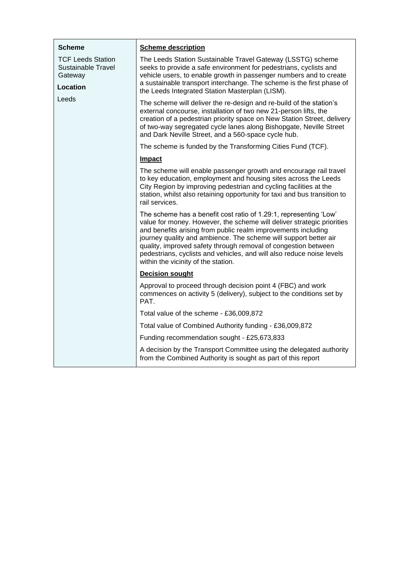| <b>Scheme</b>                                                                | <b>Scheme description</b>                                                                                                                                                                                                                                                                                                                                                                                                                                          |
|------------------------------------------------------------------------------|--------------------------------------------------------------------------------------------------------------------------------------------------------------------------------------------------------------------------------------------------------------------------------------------------------------------------------------------------------------------------------------------------------------------------------------------------------------------|
| <b>TCF Leeds Station</b><br><b>Sustainable Travel</b><br>Gateway<br>Location | The Leeds Station Sustainable Travel Gateway (LSSTG) scheme<br>seeks to provide a safe environment for pedestrians, cyclists and<br>vehicle users, to enable growth in passenger numbers and to create<br>a sustainable transport interchange. The scheme is the first phase of<br>the Leeds Integrated Station Masterplan (LISM).                                                                                                                                 |
| Leeds                                                                        | The scheme will deliver the re-design and re-build of the station's<br>external concourse, installation of two new 21-person lifts, the<br>creation of a pedestrian priority space on New Station Street, delivery<br>of two-way segregated cycle lanes along Bishopgate, Neville Street<br>and Dark Neville Street, and a 560-space cycle hub.                                                                                                                    |
|                                                                              | The scheme is funded by the Transforming Cities Fund (TCF).                                                                                                                                                                                                                                                                                                                                                                                                        |
|                                                                              | <b>Impact</b>                                                                                                                                                                                                                                                                                                                                                                                                                                                      |
|                                                                              | The scheme will enable passenger growth and encourage rail travel<br>to key education, employment and housing sites across the Leeds<br>City Region by improving pedestrian and cycling facilities at the<br>station, whilst also retaining opportunity for taxi and bus transition to<br>rail services.                                                                                                                                                           |
|                                                                              | The scheme has a benefit cost ratio of 1.29:1, representing 'Low'<br>value for money. However, the scheme will deliver strategic priorities<br>and benefits arising from public realm improvements including<br>journey quality and ambience. The scheme will support better air<br>quality, improved safety through removal of congestion between<br>pedestrians, cyclists and vehicles, and will also reduce noise levels<br>within the vicinity of the station. |
|                                                                              | <b>Decision sought</b>                                                                                                                                                                                                                                                                                                                                                                                                                                             |
|                                                                              | Approval to proceed through decision point 4 (FBC) and work<br>commences on activity 5 (delivery), subject to the conditions set by<br>PAT.                                                                                                                                                                                                                                                                                                                        |
|                                                                              | Total value of the scheme - £36,009,872                                                                                                                                                                                                                                                                                                                                                                                                                            |
|                                                                              | Total value of Combined Authority funding - £36,009,872                                                                                                                                                                                                                                                                                                                                                                                                            |
|                                                                              | Funding recommendation sought - £25,673,833                                                                                                                                                                                                                                                                                                                                                                                                                        |
|                                                                              | A decision by the Transport Committee using the delegated authority<br>from the Combined Authority is sought as part of this report                                                                                                                                                                                                                                                                                                                                |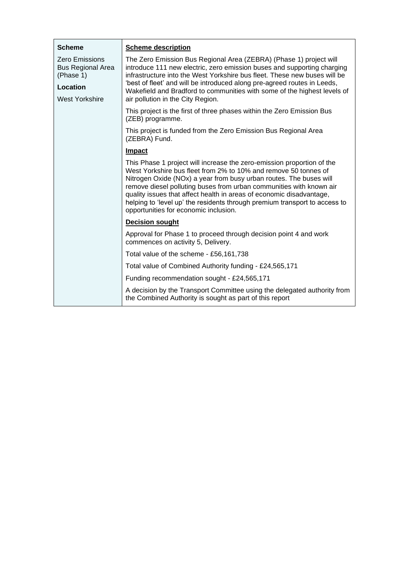| <b>Scheme</b>                                                                                       | <b>Scheme description</b>                                                                                                                                                                                                                                                                                                                                                                                                                                                             |  |
|-----------------------------------------------------------------------------------------------------|---------------------------------------------------------------------------------------------------------------------------------------------------------------------------------------------------------------------------------------------------------------------------------------------------------------------------------------------------------------------------------------------------------------------------------------------------------------------------------------|--|
| <b>Zero Emissions</b><br><b>Bus Regional Area</b><br>(Phase 1)<br>Location<br><b>West Yorkshire</b> | The Zero Emission Bus Regional Area (ZEBRA) (Phase 1) project will<br>introduce 111 new electric, zero emission buses and supporting charging<br>infrastructure into the West Yorkshire bus fleet. These new buses will be<br>'best of fleet' and will be introduced along pre-agreed routes in Leeds,<br>Wakefield and Bradford to communities with some of the highest levels of<br>air pollution in the City Region.                                                               |  |
|                                                                                                     | This project is the first of three phases within the Zero Emission Bus<br>(ZEB) programme.                                                                                                                                                                                                                                                                                                                                                                                            |  |
|                                                                                                     | This project is funded from the Zero Emission Bus Regional Area<br>(ZEBRA) Fund.                                                                                                                                                                                                                                                                                                                                                                                                      |  |
|                                                                                                     | Impact                                                                                                                                                                                                                                                                                                                                                                                                                                                                                |  |
|                                                                                                     | This Phase 1 project will increase the zero-emission proportion of the<br>West Yorkshire bus fleet from 2% to 10% and remove 50 tonnes of<br>Nitrogen Oxide (NOx) a year from busy urban routes. The buses will<br>remove diesel polluting buses from urban communities with known air<br>quality issues that affect health in areas of economic disadvantage,<br>helping to 'level up' the residents through premium transport to access to<br>opportunities for economic inclusion. |  |
|                                                                                                     | <b>Decision sought</b>                                                                                                                                                                                                                                                                                                                                                                                                                                                                |  |
|                                                                                                     | Approval for Phase 1 to proceed through decision point 4 and work<br>commences on activity 5, Delivery.                                                                                                                                                                                                                                                                                                                                                                               |  |
|                                                                                                     | Total value of the scheme - £56,161,738                                                                                                                                                                                                                                                                                                                                                                                                                                               |  |
|                                                                                                     | Total value of Combined Authority funding - £24,565,171                                                                                                                                                                                                                                                                                                                                                                                                                               |  |
|                                                                                                     | Funding recommendation sought - £24,565,171                                                                                                                                                                                                                                                                                                                                                                                                                                           |  |
|                                                                                                     | A decision by the Transport Committee using the delegated authority from<br>the Combined Authority is sought as part of this report                                                                                                                                                                                                                                                                                                                                                   |  |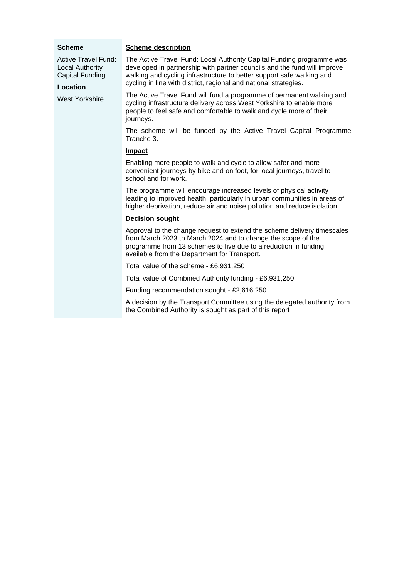| <b>Scheme</b>                                                           | <b>Scheme description</b>                                                                                                                                                                                                                                                                      |
|-------------------------------------------------------------------------|------------------------------------------------------------------------------------------------------------------------------------------------------------------------------------------------------------------------------------------------------------------------------------------------|
| <b>Active Travel Fund:</b><br>Local Authority<br><b>Capital Funding</b> | The Active Travel Fund: Local Authority Capital Funding programme was<br>developed in partnership with partner councils and the fund will improve<br>walking and cycling infrastructure to better support safe walking and<br>cycling in line with district, regional and national strategies. |
| Location<br>West Yorkshire                                              | The Active Travel Fund will fund a programme of permanent walking and                                                                                                                                                                                                                          |
|                                                                         | cycling infrastructure delivery across West Yorkshire to enable more<br>people to feel safe and comfortable to walk and cycle more of their<br>journeys.                                                                                                                                       |
|                                                                         | The scheme will be funded by the Active Travel Capital Programme<br>Tranche 3.                                                                                                                                                                                                                 |
|                                                                         | <b>Impact</b>                                                                                                                                                                                                                                                                                  |
|                                                                         | Enabling more people to walk and cycle to allow safer and more<br>convenient journeys by bike and on foot, for local journeys, travel to<br>school and for work.                                                                                                                               |
|                                                                         | The programme will encourage increased levels of physical activity<br>leading to improved health, particularly in urban communities in areas of<br>higher deprivation, reduce air and noise pollution and reduce isolation.                                                                    |
|                                                                         | <b>Decision sought</b>                                                                                                                                                                                                                                                                         |
|                                                                         | Approval to the change request to extend the scheme delivery timescales<br>from March 2023 to March 2024 and to change the scope of the<br>programme from 13 schemes to five due to a reduction in funding<br>available from the Department for Transport.                                     |
|                                                                         | Total value of the scheme - £6,931,250                                                                                                                                                                                                                                                         |
|                                                                         | Total value of Combined Authority funding - £6,931,250                                                                                                                                                                                                                                         |
|                                                                         | Funding recommendation sought - £2,616,250                                                                                                                                                                                                                                                     |
|                                                                         | A decision by the Transport Committee using the delegated authority from<br>the Combined Authority is sought as part of this report                                                                                                                                                            |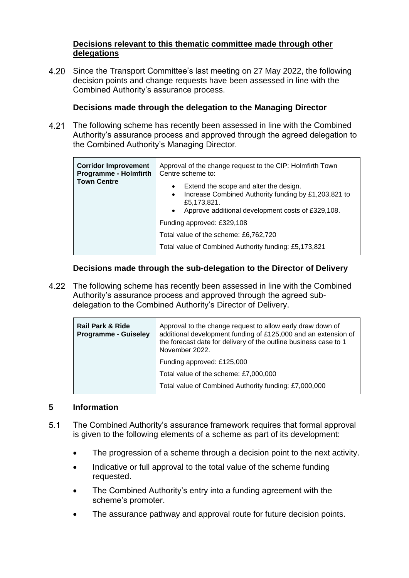### **Decisions relevant to this thematic committee made through other delegations**

4.20 Since the Transport Committee's last meeting on 27 May 2022, the following decision points and change requests have been assessed in line with the Combined Authority's assurance process.

## **Decisions made through the delegation to the Managing Director**

4.21 The following scheme has recently been assessed in line with the Combined Authority's assurance process and approved through the agreed delegation to the Combined Authority's Managing Director.

| <b>Corridor Improvement</b><br><b>Programme - Holmfirth</b> | Approval of the change request to the CIP: Holmfirth Town<br>Centre scheme to:                                                                                                                            |
|-------------------------------------------------------------|-----------------------------------------------------------------------------------------------------------------------------------------------------------------------------------------------------------|
| <b>Town Centre</b>                                          | Extend the scope and alter the design.<br>$\bullet$<br>Increase Combined Authority funding by £1,203,821 to<br>$\bullet$<br>£5,173,821.<br>Approve additional development costs of £329,108.<br>$\bullet$ |
|                                                             | Funding approved: £329,108                                                                                                                                                                                |
|                                                             | Total value of the scheme: £6,762,720                                                                                                                                                                     |
|                                                             | Total value of Combined Authority funding: £5,173,821                                                                                                                                                     |

### **Decisions made through the sub-delegation to the Director of Delivery**

4.22 The following scheme has recently been assessed in line with the Combined Authority's assurance process and approved through the agreed subdelegation to the Combined Authority's Director of Delivery.

| <b>Rail Park &amp; Ride</b><br><b>Programme - Guiseley</b> | Approval to the change request to allow early draw down of<br>additional development funding of £125,000 and an extension of<br>the forecast date for delivery of the outline business case to 1<br>November 2022. |
|------------------------------------------------------------|--------------------------------------------------------------------------------------------------------------------------------------------------------------------------------------------------------------------|
|                                                            | Funding approved: £125,000                                                                                                                                                                                         |
|                                                            | Total value of the scheme: £7,000,000                                                                                                                                                                              |
|                                                            | Total value of Combined Authority funding: £7,000,000                                                                                                                                                              |
|                                                            |                                                                                                                                                                                                                    |

### **5 Information**

- $5.1$ The Combined Authority's assurance framework requires that formal approval is given to the following elements of a scheme as part of its development:
	- The progression of a scheme through a decision point to the next activity.
	- Indicative or full approval to the total value of the scheme funding requested.
	- The Combined Authority's entry into a funding agreement with the scheme's promoter.
	- The assurance pathway and approval route for future decision points.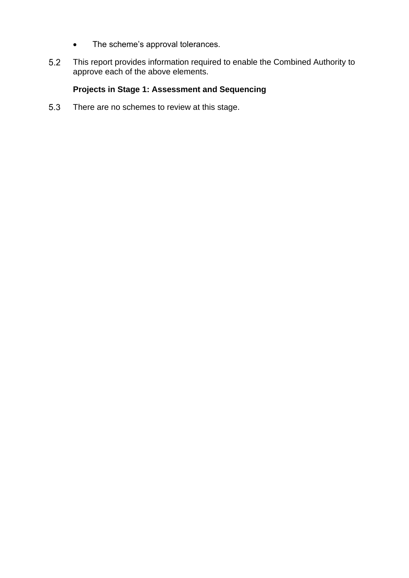- The scheme's approval tolerances.
- This report provides information required to enable the Combined Authority to  $5.2$ approve each of the above elements.

# **Projects in Stage 1: Assessment and Sequencing**

5.3 There are no schemes to review at this stage.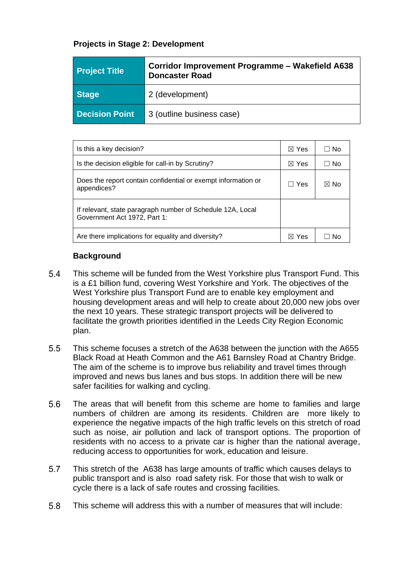## **Projects in Stage 2: Development**

| <b>Project Title</b>  | Corridor Improvement Programme – Wakefield A638<br><b>Doncaster Road</b> |
|-----------------------|--------------------------------------------------------------------------|
| <b>Stage</b>          | 2 (development)                                                          |
| <b>Decision Point</b> | 3 (outline business case)                                                |

| Is this a key decision?                                                                    | $\boxtimes$ Yes | ⊟ No           |
|--------------------------------------------------------------------------------------------|-----------------|----------------|
| Is the decision eligible for call-in by Scrutiny?                                          | $\boxtimes$ Yes | ⊟ No           |
| Does the report contain confidential or exempt information or<br>appendices?               | $\Box$ Yes      | $\boxtimes$ No |
| If relevant, state paragraph number of Schedule 12A, Local<br>Government Act 1972, Part 1: |                 |                |
| Are there implications for equality and diversity?                                         | <b>Yes</b><br>M | Nο             |

### **Background**

- 5.4 This scheme will be funded from the West Yorkshire plus Transport Fund. This is a £1 billion fund, covering West Yorkshire and York. The objectives of the West Yorkshire plus Transport Fund are to enable key employment and housing development areas and will help to create about 20,000 new jobs over the next 10 years. These strategic transport projects will be delivered to facilitate the growth priorities identified in the Leeds City Region Economic plan.
- $5.5$ This scheme focuses a stretch of the A638 between the junction with the A655 Black Road at Heath Common and the A61 Barnsley Road at Chantry Bridge. The aim of the scheme is to improve bus reliability and travel times through improved and news bus lanes and bus stops. In addition there will be new safer facilities for walking and cycling.
- 5.6 The areas that will benefit from this scheme are home to families and large numbers of children are among its residents. Children are more likely to experience the negative impacts of the high traffic levels on this stretch of road such as noise, air pollution and lack of transport options. The proportion of residents with no access to a private car is higher than the national average, reducing access to opportunities for work, education and leisure.
- 5.7 This stretch of the A638 has large amounts of traffic which causes delays to public transport and is also road safety risk. For those that wish to walk or cycle there is a lack of safe routes and crossing facilities.
- 5.8 This scheme will address this with a number of measures that will include: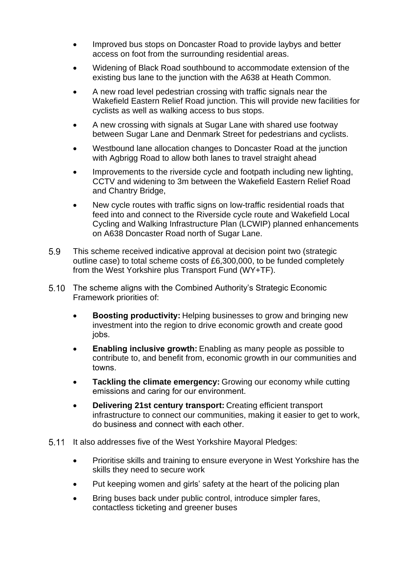- Improved bus stops on Doncaster Road to provide laybys and better access on foot from the surrounding residential areas.
- Widening of Black Road southbound to accommodate extension of the existing bus lane to the junction with the A638 at Heath Common.
- A new road level pedestrian crossing with traffic signals near the Wakefield Eastern Relief Road junction. This will provide new facilities for cyclists as well as walking access to bus stops.
- A new crossing with signals at Sugar Lane with shared use footway between Sugar Lane and Denmark Street for pedestrians and cyclists.
- Westbound lane allocation changes to Doncaster Road at the junction with Agbrigg Road to allow both lanes to travel straight ahead
- Improvements to the riverside cycle and footpath including new lighting, CCTV and widening to 3m between the Wakefield Eastern Relief Road and Chantry Bridge,
- New cycle routes with traffic signs on low-traffic residential roads that feed into and connect to the Riverside cycle route and Wakefield Local Cycling and Walking Infrastructure Plan (LCWIP) planned enhancements on A638 Doncaster Road north of Sugar Lane.
- This scheme received indicative approval at decision point two (strategic 5.9 outline case) to total scheme costs of £6,300,000, to be funded completely from the West Yorkshire plus Transport Fund (WY+TF).
- 5.10 The scheme aligns with the Combined Authority's Strategic Economic Framework priorities of:
	- **Boosting productivity:**Helping businesses to grow and bringing new investment into the region to drive economic growth and create good jobs.
	- **Enabling inclusive growth:**Enabling as many people as possible to contribute to, and benefit from, economic growth in our communities and towns.
	- **Tackling the climate emergency:** Growing our economy while cutting emissions and caring for our environment.
	- **Delivering 21st century transport:** Creating efficient transport infrastructure to connect our communities, making it easier to get to work, do business and connect with each other.
- 5.11 It also addresses five of the West Yorkshire Mayoral Pledges:
	- Prioritise skills and training to ensure everyone in West Yorkshire has the skills they need to secure work
	- Put keeping women and girls' safety at the heart of the policing plan
	- Bring buses back under public control, introduce simpler fares, contactless ticketing and greener buses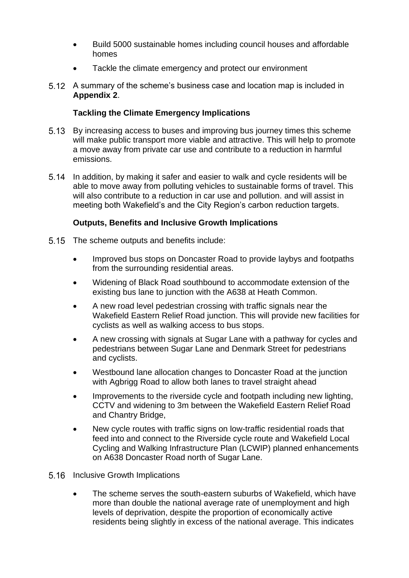- Build 5000 sustainable homes including council houses and affordable homes
- Tackle the climate emergency and protect our environment
- A summary of the scheme's business case and location map is included in **Appendix 2**.

# **Tackling the Climate Emergency Implications**

- 5.13 By increasing access to buses and improving bus journey times this scheme will make public transport more viable and attractive. This will help to promote a move away from private car use and contribute to a reduction in harmful emissions.
- In addition, by making it safer and easier to walk and cycle residents will be able to move away from polluting vehicles to sustainable forms of travel. This will also contribute to a reduction in car use and pollution. and will assist in meeting both Wakefield's and the City Region's carbon reduction targets.

## **Outputs, Benefits and Inclusive Growth Implications**

- 5.15 The scheme outputs and benefits include:
	- Improved bus stops on Doncaster Road to provide laybys and footpaths from the surrounding residential areas.
	- Widening of Black Road southbound to accommodate extension of the existing bus lane to junction with the A638 at Heath Common.
	- A new road level pedestrian crossing with traffic signals near the Wakefield Eastern Relief Road junction. This will provide new facilities for cyclists as well as walking access to bus stops.
	- A new crossing with signals at Sugar Lane with a pathway for cycles and pedestrians between Sugar Lane and Denmark Street for pedestrians and cyclists.
	- Westbound lane allocation changes to Doncaster Road at the junction with Agbrigg Road to allow both lanes to travel straight ahead
	- Improvements to the riverside cycle and footpath including new lighting, CCTV and widening to 3m between the Wakefield Eastern Relief Road and Chantry Bridge,
	- New cycle routes with traffic signs on low-traffic residential roads that feed into and connect to the Riverside cycle route and Wakefield Local Cycling and Walking Infrastructure Plan (LCWIP) planned enhancements on A638 Doncaster Road north of Sugar Lane.
- 5.16 Inclusive Growth Implications
	- The scheme serves the south-eastern suburbs of Wakefield, which have more than double the national average rate of unemployment and high levels of deprivation, despite the proportion of economically active residents being slightly in excess of the national average. This indicates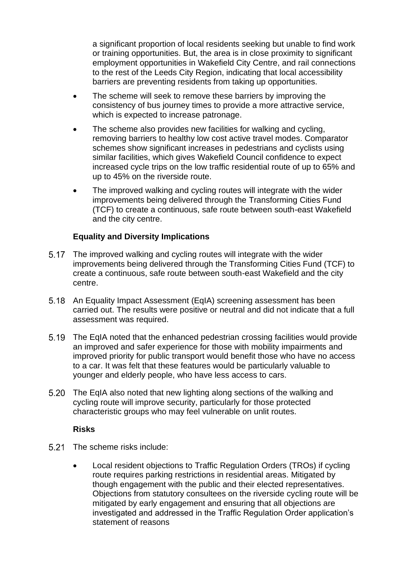a significant proportion of local residents seeking but unable to find work or training opportunities. But, the area is in close proximity to significant employment opportunities in Wakefield City Centre, and rail connections to the rest of the Leeds City Region, indicating that local accessibility barriers are preventing residents from taking up opportunities.

- The scheme will seek to remove these barriers by improving the consistency of bus journey times to provide a more attractive service, which is expected to increase patronage.
- The scheme also provides new facilities for walking and cycling, removing barriers to healthy low cost active travel modes. Comparator schemes show significant increases in pedestrians and cyclists using similar facilities, which gives Wakefield Council confidence to expect increased cycle trips on the low traffic residential route of up to 65% and up to 45% on the riverside route.
- The improved walking and cycling routes will integrate with the wider improvements being delivered through the Transforming Cities Fund (TCF) to create a continuous, safe route between south-east Wakefield and the city centre.

## **Equality and Diversity Implications**

- The improved walking and cycling routes will integrate with the wider improvements being delivered through the Transforming Cities Fund (TCF) to create a continuous, safe route between south-east Wakefield and the city centre.
- 5.18 An Equality Impact Assessment (EqIA) screening assessment has been carried out. The results were positive or neutral and did not indicate that a full assessment was required.
- The EqIA noted that the enhanced pedestrian crossing facilities would provide an improved and safer experience for those with mobility impairments and improved priority for public transport would benefit those who have no access to a car. It was felt that these features would be particularly valuable to younger and elderly people, who have less access to cars.
- 5.20 The EqIA also noted that new lighting along sections of the walking and cycling route will improve security, particularly for those protected characteristic groups who may feel vulnerable on unlit routes.

### **Risks**

- 5.21 The scheme risks include:
	- Local resident objections to Traffic Regulation Orders (TROs) if cycling route requires parking restrictions in residential areas. Mitigated by though engagement with the public and their elected representatives. Objections from statutory consultees on the riverside cycling route will be mitigated by early engagement and ensuring that all objections are investigated and addressed in the Traffic Regulation Order application's statement of reasons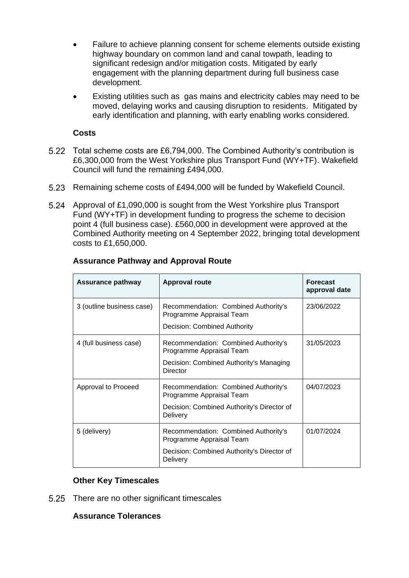- Failure to achieve planning consent for scheme elements outside existing highway boundary on common land and canal towpath, leading to significant redesign and/or mitigation costs. Mitigated by early engagement with the planning department during full business case development.
- Existing utilities such as gas mains and electricity cables may need to be moved, delaying works and causing disruption to residents. Mitigated by early identification and planning, with early enabling works considered.

### **Costs**

- 5.22 Total scheme costs are £6,794,000. The Combined Authority's contribution is £6,300,000 from the West Yorkshire plus Transport Fund (WY+TF). Wakefield Council will fund the remaining £494,000.
- 5.23 Remaining scheme costs of £494,000 will be funded by Wakefield Council.
- Approval of £1,090,000 is sought from the West Yorkshire plus Transport Fund (WY+TF) in development funding to progress the scheme to decision point 4 (full business case). £560,000 in development were approved at the Combined Authority meeting on 4 September 2022, bringing total development costs to £1,650,000.

| <b>Assurance pathway</b>  | <b>Approval route</b>                                                                                                      | <b>Forecast</b><br>approval date |
|---------------------------|----------------------------------------------------------------------------------------------------------------------------|----------------------------------|
| 3 (outline business case) | Recommendation: Combined Authority's<br>Programme Appraisal Team<br>Decision: Combined Authority                           | 23/06/2022                       |
| 4 (full business case)    | Recommendation: Combined Authority's<br>Programme Appraisal Team<br>Decision: Combined Authority's Managing<br>Director    | 31/05/2023                       |
| Approval to Proceed       | Recommendation: Combined Authority's<br>Programme Appraisal Team<br>Decision: Combined Authority's Director of<br>Delivery | 04/07/2023                       |
| 5 (delivery)              | Recommendation: Combined Authority's<br>Programme Appraisal Team<br>Decision: Combined Authority's Director of<br>Delivery | 01/07/2024                       |

### **Assurance Pathway and Approval Route**

## **Other Key Timescales**

5.25 There are no other significant timescales

### **Assurance Tolerances**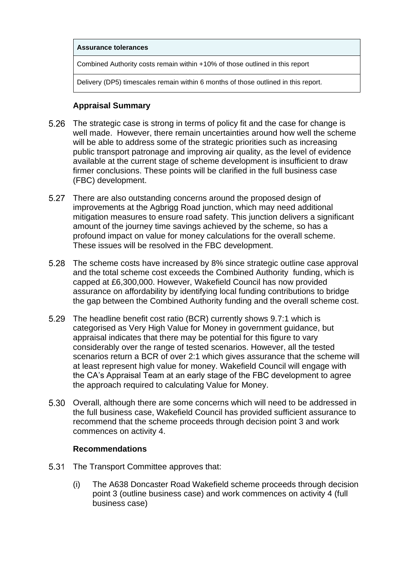#### **Assurance tolerances**

Combined Authority costs remain within +10% of those outlined in this report

Delivery (DP5) timescales remain within 6 months of those outlined in this report.

### **Appraisal Summary**

- 5.26 The strategic case is strong in terms of policy fit and the case for change is well made. However, there remain uncertainties around how well the scheme will be able to address some of the strategic priorities such as increasing public transport patronage and improving air quality, as the level of evidence available at the current stage of scheme development is insufficient to draw firmer conclusions. These points will be clarified in the full business case (FBC) development.
- 5.27 There are also outstanding concerns around the proposed design of improvements at the Agbrigg Road junction, which may need additional mitigation measures to ensure road safety. This junction delivers a significant amount of the journey time savings achieved by the scheme, so has a profound impact on value for money calculations for the overall scheme. These issues will be resolved in the FBC development.
- The scheme costs have increased by 8% since strategic outline case approval and the total scheme cost exceeds the Combined Authority funding, which is capped at £6,300,000. However, Wakefield Council has now provided assurance on affordability by identifying local funding contributions to bridge the gap between the Combined Authority funding and the overall scheme cost.
- 5.29 The headline benefit cost ratio (BCR) currently shows 9.7:1 which is categorised as Very High Value for Money in government guidance, but appraisal indicates that there may be potential for this figure to vary considerably over the range of tested scenarios. However, all the tested scenarios return a BCR of over 2:1 which gives assurance that the scheme will at least represent high value for money. Wakefield Council will engage with the CA's Appraisal Team at an early stage of the FBC development to agree the approach required to calculating Value for Money.
- 5.30 Overall, although there are some concerns which will need to be addressed in the full business case, Wakefield Council has provided sufficient assurance to recommend that the scheme proceeds through decision point 3 and work commences on activity 4.

### **Recommendations**

- 5.31 The Transport Committee approves that:
	- (i) The A638 Doncaster Road Wakefield scheme proceeds through decision point 3 (outline business case) and work commences on activity 4 (full business case)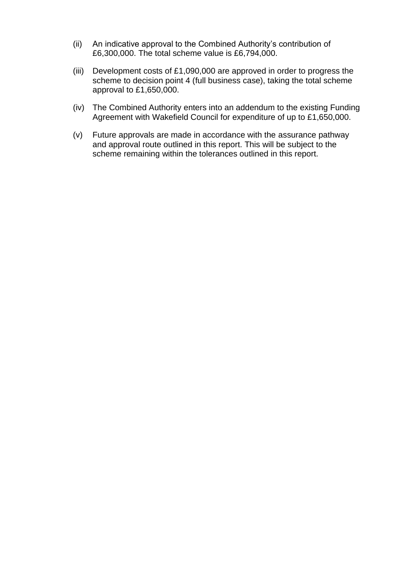- (ii) An indicative approval to the Combined Authority's contribution of £6,300,000. The total scheme value is £6,794,000.
- (iii) Development costs of £1,090,000 are approved in order to progress the scheme to decision point 4 (full business case), taking the total scheme approval to £1,650,000.
- (iv) The Combined Authority enters into an addendum to the existing Funding Agreement with Wakefield Council for expenditure of up to £1,650,000.
- (v) Future approvals are made in accordance with the assurance pathway and approval route outlined in this report. This will be subject to the scheme remaining within the tolerances outlined in this report.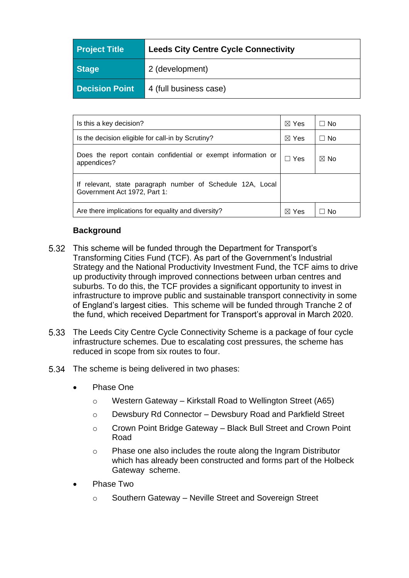| <b>Project Title</b>  | <b>Leeds City Centre Cycle Connectivity</b> |
|-----------------------|---------------------------------------------|
| <b>Stage</b>          | 2 (development)                             |
| <b>Decision Point</b> | 4 (full business case)                      |

| Is this a key decision?                                                                    |  | ⊟ No           |
|--------------------------------------------------------------------------------------------|--|----------------|
| Is the decision eligible for call-in by Scrutiny?                                          |  | $\Box$ No      |
| Does the report contain confidential or exempt information or<br>appendices?               |  | $\boxtimes$ No |
| If relevant, state paragraph number of Schedule 12A, Local<br>Government Act 1972, Part 1: |  |                |
| Are there implications for equality and diversity?                                         |  | No.            |

## **Background**

- This scheme will be funded through the Department for Transport's Transforming Cities Fund (TCF). As part of the Government's Industrial Strategy and the National Productivity Investment Fund, the TCF aims to drive up productivity through improved connections between urban centres and suburbs. To do this, the TCF provides a significant opportunity to invest in infrastructure to improve public and sustainable transport connectivity in some of England's largest cities. This scheme will be funded through Tranche 2 of the fund, which received Department for Transport's approval in March 2020.
- The Leeds City Centre Cycle Connectivity Scheme is a package of four cycle infrastructure schemes. Due to escalating cost pressures, the scheme has reduced in scope from six routes to four.
- 5.34 The scheme is being delivered in two phases:
	- Phase One
		- o Western Gateway Kirkstall Road to Wellington Street (A65)
		- o Dewsbury Rd Connector Dewsbury Road and Parkfield Street
		- o Crown Point Bridge Gateway Black Bull Street and Crown Point Road
		- o Phase one also includes the route along the Ingram Distributor which has already been constructed and forms part of the Holbeck Gatewayscheme.
	- Phase Two
		- o Southern Gateway Neville Street and Sovereign Street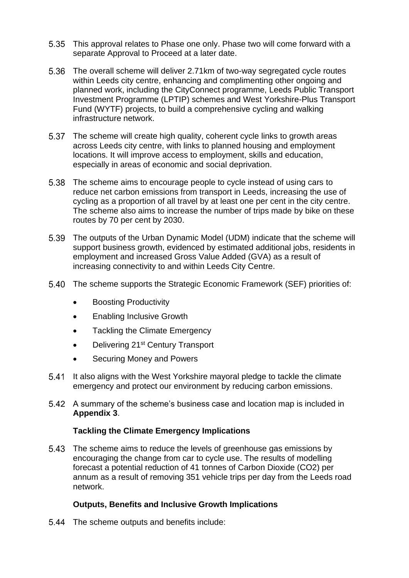- This approval relates to Phase one only. Phase two will come forward with a separate Approval to Proceed at a later date.
- 5.36 The overall scheme will deliver 2.71km of two-way segregated cycle routes within Leeds city centre, enhancing and complimenting other ongoing and planned work, including the CityConnect programme, Leeds Public Transport Investment Programme (LPTIP) schemes and West Yorkshire-Plus Transport Fund (WYTF) projects, to build a comprehensive cycling and walking infrastructure network.
- 5.37 The scheme will create high quality, coherent cycle links to growth areas across Leeds city centre, with links to planned housing and employment locations. It will improve access to employment, skills and education, especially in areas of economic and social deprivation.
- The scheme aims to encourage people to cycle instead of using cars to reduce net carbon emissions from transport in Leeds, increasing the use of cycling as a proportion of all travel by at least one per cent in the city centre. The scheme also aims to increase the number of trips made by bike on these routes by 70 per cent by 2030.
- The outputs of the Urban Dynamic Model (UDM) indicate that the scheme will support business growth, evidenced by estimated additional jobs, residents in employment and increased Gross Value Added (GVA) as a result of increasing connectivity to and within Leeds City Centre.
- The scheme supports the Strategic Economic Framework (SEF) priorities of:
	- Boosting Productivity
	- Enabling Inclusive Growth
	- Tackling the Climate Emergency
	- Delivering 21<sup>st</sup> Century Transport
	- Securing Money and Powers
- 5.41 It also aligns with the West Yorkshire mayoral pledge to tackle the climate emergency and protect our environment by reducing carbon emissions.
- A summary of the scheme's business case and location map is included in **Appendix 3**.

### **Tackling the Climate Emergency Implications**

5.43 The scheme aims to reduce the levels of greenhouse gas emissions by encouraging the change from car to cycle use. The results of modelling forecast a potential reduction of 41 tonnes of Carbon Dioxide (CO2) per annum as a result of removing 351 vehicle trips per day from the Leeds road network.

## **Outputs, Benefits and Inclusive Growth Implications**

5.44 The scheme outputs and benefits include: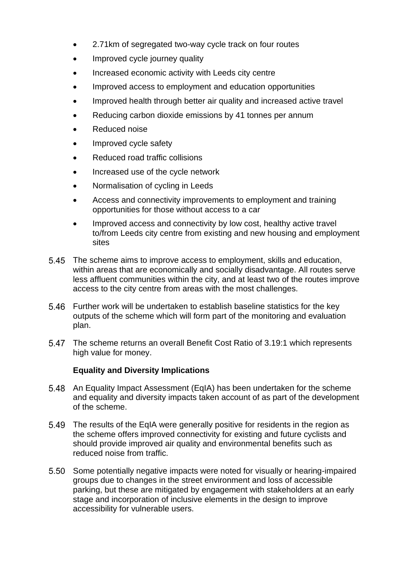- 2.71km of segregated two-way cycle track on four routes
- Improved cycle journey quality
- Increased economic activity with Leeds city centre
- Improved access to employment and education opportunities
- Improved health through better air quality and increased active travel
- Reducing carbon dioxide emissions by 41 tonnes per annum
- Reduced noise
- Improved cycle safety
- Reduced road traffic collisions
- Increased use of the cycle network
- Normalisation of cycling in Leeds
- Access and connectivity improvements to employment and training opportunities for those without access to a car
- Improved access and connectivity by low cost, healthy active travel to/from Leeds city centre from existing and new housing and employment sites
- The scheme aims to improve access to employment, skills and education, within areas that are economically and socially disadvantage. All routes serve less affluent communities within the city, and at least two of the routes improve access to the city centre from areas with the most challenges.
- Further work will be undertaken to establish baseline statistics for the key 5.46 outputs of the scheme which will form part of the monitoring and evaluation plan.
- The scheme returns an overall Benefit Cost Ratio of 3.19:1 which represents high value for money.

## **Equality and Diversity Implications**

- 5.48 An Equality Impact Assessment (EqIA) has been undertaken for the scheme and equality and diversity impacts taken account of as part of the development of the scheme.
- The results of the EqIA were generally positive for residents in the region as the scheme offers improved connectivity for existing and future cyclists and should provide improved air quality and environmental benefits such as reduced noise from traffic.
- 5.50 Some potentially negative impacts were noted for visually or hearing-impaired groups due to changes in the street environment and loss of accessible parking, but these are mitigated by engagement with stakeholders at an early stage and incorporation of inclusive elements in the design to improve accessibility for vulnerable users.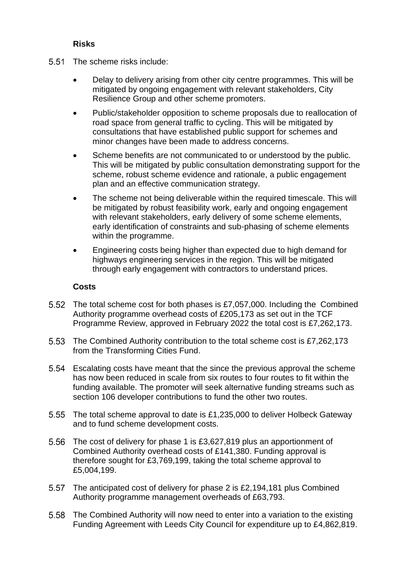## **Risks**

- 5.51 The scheme risks include:
	- Delay to delivery arising from other city centre programmes. This will be mitigated by ongoing engagement with relevant stakeholders, City Resilience Group and other scheme promoters.
	- Public/stakeholder opposition to scheme proposals due to reallocation of road space from general traffic to cycling. This will be mitigated by consultations that have established public support for schemes and minor changes have been made to address concerns.
	- Scheme benefits are not communicated to or understood by the public. This will be mitigated by public consultation demonstrating support for the scheme, robust scheme evidence and rationale, a public engagement plan and an effective communication strategy.
	- The scheme not being deliverable within the required timescale. This will be mitigated by robust feasibility work, early and ongoing engagement with relevant stakeholders, early delivery of some scheme elements, early identification of constraints and sub-phasing of scheme elements within the programme.
	- Engineering costs being higher than expected due to high demand for highways engineering services in the region. This will be mitigated through early engagement with contractors to understand prices.

### **Costs**

- The total scheme cost for both phases is £7,057,000. Including the Combined Authority programme overhead costs of £205,173 as set out in the TCF Programme Review, approved in February 2022 the total cost is £7,262,173.
- The Combined Authority contribution to the total scheme cost is £7,262,173 from the Transforming Cities Fund.
- Escalating costs have meant that the since the previous approval the scheme has now been reduced in scale from six routes to four routes to fit within the funding available. The promoter will seek alternative funding streams such as section 106 developer contributions to fund the other two routes.
- 5.55 The total scheme approval to date is £1,235,000 to deliver Holbeck Gateway and to fund scheme development costs.
- 5.56 The cost of delivery for phase 1 is £3,627,819 plus an apportionment of Combined Authority overhead costs of £141,380. Funding approval is therefore sought for £3,769,199, taking the total scheme approval to £5,004,199.
- 5.57 The anticipated cost of delivery for phase 2 is £2,194,181 plus Combined Authority programme management overheads of £63,793.
- The Combined Authority will now need to enter into a variation to the existing Funding Agreement with Leeds City Council for expenditure up to £4,862,819.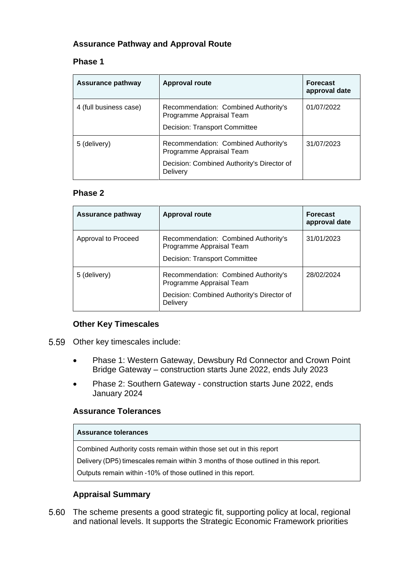# **Assurance Pathway and Approval Route**

### **Phase 1**

| <b>Assurance pathway</b> | <b>Approval route</b>                                                                                                      | <b>Forecast</b><br>approval date |
|--------------------------|----------------------------------------------------------------------------------------------------------------------------|----------------------------------|
| 4 (full business case)   | Recommendation: Combined Authority's<br>Programme Appraisal Team<br>Decision: Transport Committee                          | 01/07/2022                       |
| 5 (delivery)             | Recommendation: Combined Authority's<br>Programme Appraisal Team<br>Decision: Combined Authority's Director of<br>Delivery | 31/07/2023                       |

### **Phase 2**

| Assurance pathway   | <b>Approval route</b>                                                                                                      | <b>Forecast</b><br>approval date |
|---------------------|----------------------------------------------------------------------------------------------------------------------------|----------------------------------|
| Approval to Proceed | Recommendation: Combined Authority's<br>Programme Appraisal Team<br>Decision: Transport Committee                          | 31/01/2023                       |
| 5 (delivery)        | Recommendation: Combined Authority's<br>Programme Appraisal Team<br>Decision: Combined Authority's Director of<br>Delivery | 28/02/2024                       |

### **Other Key Timescales**

- 5.59 Other key timescales include:
	- Phase 1: Western Gateway, Dewsbury Rd Connector and Crown Point Bridge Gateway – construction starts June 2022, ends July 2023
	- Phase 2: Southern Gateway construction starts June 2022, ends January 2024

### **Assurance Tolerances**

#### **Assurance tolerances**

Combined Authority costs remain within those set out in this report

Delivery (DP5) timescales remain within 3 months of those outlined in this report. 

Outputs remain within -10% of those outlined in this report. 

### **Appraisal Summary**

The scheme presents a good strategic fit, supporting policy at local, regional and national levels. It supports the Strategic Economic Framework priorities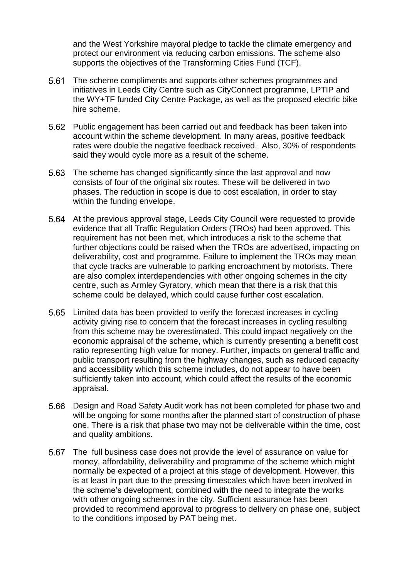and the West Yorkshire mayoral pledge to tackle the climate emergency and protect our environment via reducing carbon emissions. The scheme also supports the objectives of the Transforming Cities Fund (TCF).

- The scheme compliments and supports other schemes programmes and initiatives in Leeds City Centre such as CityConnect programme, LPTIP and the WY+TF funded City Centre Package, as well as the proposed electric bike hire scheme.
- Public engagement has been carried out and feedback has been taken into account within the scheme development. In many areas, positive feedback rates were double the negative feedback received. Also, 30% of respondents said they would cycle more as a result of the scheme.
- The scheme has changed significantly since the last approval and now consists of four of the original six routes. These will be delivered in two phases. The reduction in scope is due to cost escalation, in order to stay within the funding envelope.
- At the previous approval stage, Leeds City Council were requested to provide evidence that all Traffic Regulation Orders (TROs) had been approved. This requirement has not been met, which introduces a risk to the scheme that further objections could be raised when the TROs are advertised, impacting on deliverability, cost and programme. Failure to implement the TROs may mean that cycle tracks are vulnerable to parking encroachment by motorists. There are also complex interdependencies with other ongoing schemes in the city centre, such as Armley Gyratory, which mean that there is a risk that this scheme could be delayed, which could cause further cost escalation.
- Limited data has been provided to verify the forecast increases in cycling activity giving rise to concern that the forecast increases in cycling resulting from this scheme may be overestimated. This could impact negatively on the economic appraisal of the scheme, which is currently presenting a benefit cost ratio representing high value for money. Further, impacts on general traffic and public transport resulting from the highway changes, such as reduced capacity and accessibility which this scheme includes, do not appear to have been sufficiently taken into account, which could affect the results of the economic appraisal.
- Design and Road Safety Audit work has not been completed for phase two and will be ongoing for some months after the planned start of construction of phase one. There is a risk that phase two may not be deliverable within the time, cost and quality ambitions.
- The full business case does not provide the level of assurance on value for money, affordability, deliverability and programme of the scheme which might normally be expected of a project at this stage of development. However, this is at least in part due to the pressing timescales which have been involved in the scheme's development, combined with the need to integrate the works with other ongoing schemes in the city. Sufficient assurance has been provided to recommend approval to progress to delivery on phase one, subject to the conditions imposed by PAT being met.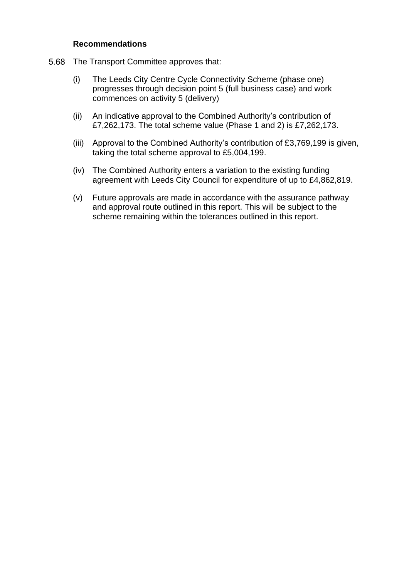#### **Recommendations**

- 5.68 The Transport Committee approves that:
	- (i) The Leeds City Centre Cycle Connectivity Scheme (phase one) progresses through decision point 5 (full business case) and work commences on activity 5 (delivery)
	- (ii) An indicative approval to the Combined Authority's contribution of £7,262,173. The total scheme value (Phase 1 and 2) is £7,262,173.
	- (iii) Approval to the Combined Authority's contribution of £3,769,199 is given, taking the total scheme approval to £5,004,199.
	- (iv) The Combined Authority enters a variation to the existing funding agreement with Leeds City Council for expenditure of up to £4,862,819.
	- (v) Future approvals are made in accordance with the assurance pathway and approval route outlined in this report. This will be subject to the scheme remaining within the tolerances outlined in this report.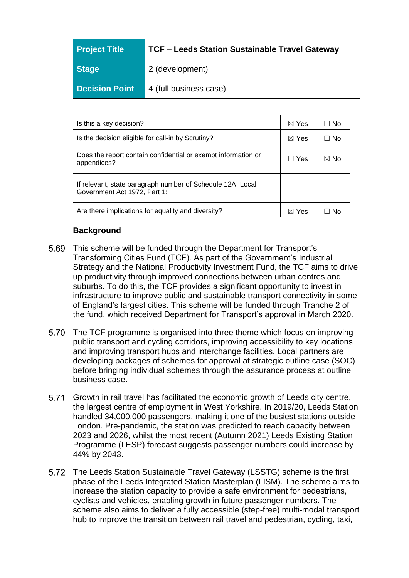| <b>Project Title</b>  | <b>TCF - Leeds Station Sustainable Travel Gateway</b> |  |
|-----------------------|-------------------------------------------------------|--|
| Stage                 | 2 (development)                                       |  |
| <b>Decision Point</b> | 4 (full business case)                                |  |

| Is this a key decision?                                                                    | $\boxtimes$ Yes | ⊟ No      |
|--------------------------------------------------------------------------------------------|-----------------|-----------|
| Is the decision eligible for call-in by Scrutiny?                                          | $\boxtimes$ Yes | $\Box$ No |
| Does the report contain confidential or exempt information or<br>appendices?               | Yes<br>l.       | ⊠ No      |
| If relevant, state paragraph number of Schedule 12A, Local<br>Government Act 1972, Part 1: |                 |           |
| Are there implications for equality and diversity?                                         | Yes<br>⋈        |           |

## **Background**

- This scheme will be funded through the Department for Transport's Transforming Cities Fund (TCF). As part of the Government's Industrial Strategy and the National Productivity Investment Fund, the TCF aims to drive up productivity through improved connections between urban centres and suburbs. To do this, the TCF provides a significant opportunity to invest in infrastructure to improve public and sustainable transport connectivity in some of England's largest cities. This scheme will be funded through Tranche 2 of the fund, which received Department for Transport's approval in March 2020.
- 5.70 The TCF programme is organised into three theme which focus on improving public transport and cycling corridors, improving accessibility to key locations and improving transport hubs and interchange facilities. Local partners are developing packages of schemes for approval at strategic outline case (SOC) before bringing individual schemes through the assurance process at outline business case.
- 5.71 Growth in rail travel has facilitated the economic growth of Leeds city centre, the largest centre of employment in West Yorkshire. In 2019/20, Leeds Station handled 34,000,000 passengers, making it one of the busiest stations outside London. Pre-pandemic, the station was predicted to reach capacity between 2023 and 2026, whilst the most recent (Autumn 2021) Leeds Existing Station Programme (LESP) forecast suggests passenger numbers could increase by 44% by 2043.
- 5.72 The Leeds Station Sustainable Travel Gateway (LSSTG) scheme is the first phase of the Leeds Integrated Station Masterplan (LISM). The scheme aims to increase the station capacity to provide a safe environment for pedestrians, cyclists and vehicles, enabling growth in future passenger numbers. The scheme also aims to deliver a fully accessible (step-free) multi-modal transport hub to improve the transition between rail travel and pedestrian, cycling, taxi,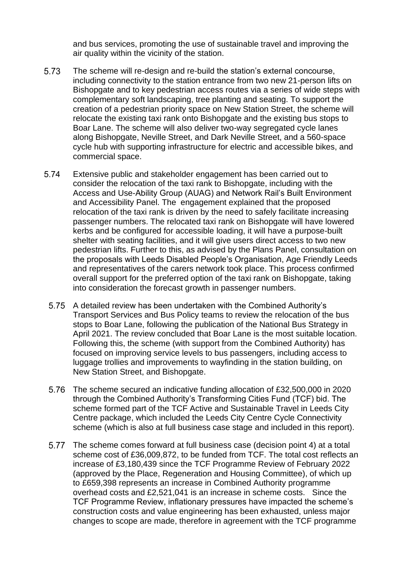and bus services, promoting the use of sustainable travel and improving the air quality within the vicinity of the station.

- 5.73 The scheme will re-design and re-build the station's external concourse, including connectivity to the station entrance from two new 21-person lifts on Bishopgate and to key pedestrian access routes via a series of wide steps with complementary soft landscaping, tree planting and seating. To support the creation of a pedestrian priority space on New Station Street, the scheme will relocate the existing taxi rank onto Bishopgate and the existing bus stops to Boar Lane. The scheme will also deliver two-way segregated cycle lanes along Bishopgate, Neville Street, and Dark Neville Street, and a 560-space cycle hub with supporting infrastructure for electric and accessible bikes, and commercial space.
- 5.74 Extensive public and stakeholder engagement has been carried out to consider the relocation of the taxi rank to Bishopgate, including with the Access and Use-Ability Group (AUAG) and Network Rail's Built Environment and Accessibility Panel. The engagement explained that the proposed relocation of the taxi rank is driven by the need to safely facilitate increasing passenger numbers. The relocated taxi rank on Bishopgate will have lowered kerbs and be configured for accessible loading, it will have a purpose-built shelter with seating facilities, and it will give users direct access to two new pedestrian lifts. Further to this, as advised by the Plans Panel, consultation on the proposals with Leeds Disabled People's Organisation, Age Friendly Leeds and representatives of the carers network took place. This process confirmed overall support for the preferred option of the taxi rank on Bishopgate, taking into consideration the forecast growth in passenger numbers.
	- 5.75 A detailed review has been undertaken with the Combined Authority's Transport Services and Bus Policy teams to review the relocation of the bus stops to Boar Lane, following the publication of the National Bus Strategy in April 2021. The review concluded that Boar Lane is the most suitable location. Following this, the scheme (with support from the Combined Authority) has focused on improving service levels to bus passengers, including access to luggage trollies and improvements to wayfinding in the station building, on New Station Street, and Bishopgate.
	- The scheme secured an indicative funding allocation of £32,500,000 in 2020 through the Combined Authority's Transforming Cities Fund (TCF) bid. The scheme formed part of the TCF Active and Sustainable Travel in Leeds City Centre package, which included the Leeds City Centre Cycle Connectivity scheme (which is also at full business case stage and included in this report).
	- 5.77 The scheme comes forward at full business case (decision point 4) at a total scheme cost of £36,009,872, to be funded from TCF. The total cost reflects an increase of £3,180,439 since the TCF Programme Review of February 2022 (approved by the Place, Regeneration and Housing Committee), of which up to £659,398 represents an increase in Combined Authority programme overhead costs and £2,521,041 is an increase in scheme costs. Since the TCF Programme Review, inflationary pressures have impacted the scheme's construction costs and value engineering has been exhausted, unless major changes to scope are made, therefore in agreement with the TCF programme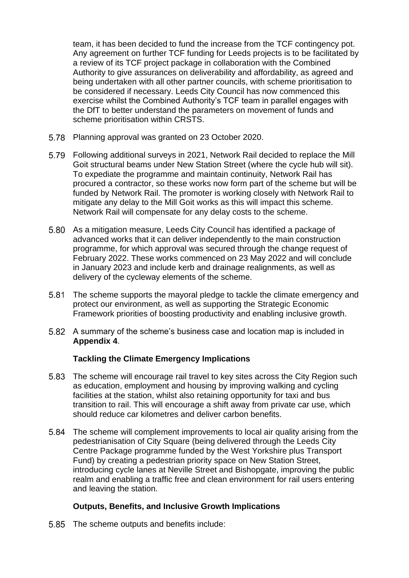team, it has been decided to fund the increase from the TCF contingency pot. Any agreement on further TCF funding for Leeds projects is to be facilitated by a review of its TCF project package in collaboration with the Combined Authority to give assurances on deliverability and affordability, as agreed and being undertaken with all other partner councils, with scheme prioritisation to be considered if necessary. Leeds City Council has now commenced this exercise whilst the Combined Authority's TCF team in parallel engages with the DfT to better understand the parameters on movement of funds and scheme prioritisation within CRSTS.

- 5.78 Planning approval was granted on 23 October 2020.
- Following additional surveys in 2021, Network Rail decided to replace the Mill Goit structural beams under New Station Street (where the cycle hub will sit). To expediate the programme and maintain continuity, Network Rail has procured a contractor, so these works now form part of the scheme but will be funded by Network Rail. The promoter is working closely with Network Rail to mitigate any delay to the Mill Goit works as this will impact this scheme. Network Rail will compensate for any delay costs to the scheme.
- As a mitigation measure, Leeds City Council has identified a package of advanced works that it can deliver independently to the main construction programme, for which approval was secured through the change request of February 2022. These works commenced on 23 May 2022 and will conclude in January 2023 and include kerb and drainage realignments, as well as delivery of the cycleway elements of the scheme.
- The scheme supports the mayoral pledge to tackle the climate emergency and protect our environment, as well as supporting the Strategic Economic Framework priorities of boosting productivity and enabling inclusive growth.
- A summary of the scheme's business case and location map is included in **Appendix 4**.

## **Tackling the Climate Emergency Implications**

- The scheme will encourage rail travel to key sites across the City Region such as education, employment and housing by improving walking and cycling facilities at the station, whilst also retaining opportunity for taxi and bus transition to rail. This will encourage a shift away from private car use, which should reduce car kilometres and deliver carbon benefits.
- The scheme will complement improvements to local air quality arising from the pedestrianisation of City Square (being delivered through the Leeds City Centre Package programme funded by the West Yorkshire plus Transport Fund) by creating a pedestrian priority space on New Station Street, introducing cycle lanes at Neville Street and Bishopgate, improving the public realm and enabling a traffic free and clean environment for rail users entering and leaving the station.

### **Outputs, Benefits, and Inclusive Growth Implications**

5.85 The scheme outputs and benefits include: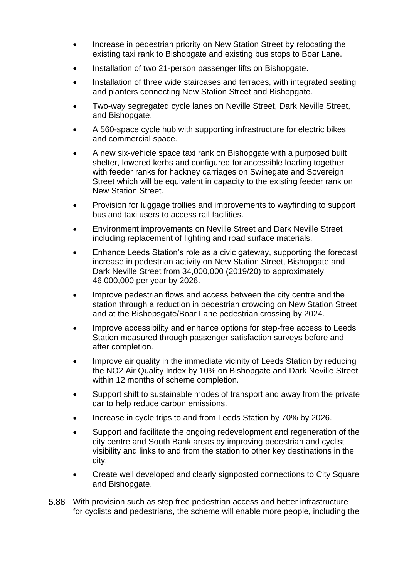- Increase in pedestrian priority on New Station Street by relocating the existing taxi rank to Bishopgate and existing bus stops to Boar Lane.
- Installation of two 21-person passenger lifts on Bishopgate.
- Installation of three wide staircases and terraces, with integrated seating and planters connecting New Station Street and Bishopgate.
- Two-way segregated cycle lanes on Neville Street, Dark Neville Street, and Bishopgate.
- A 560-space cycle hub with supporting infrastructure for electric bikes and commercial space.
- A new six-vehicle space taxi rank on Bishopgate with a purposed built shelter, lowered kerbs and configured for accessible loading together with feeder ranks for hackney carriages on Swinegate and Sovereign Street which will be equivalent in capacity to the existing feeder rank on New Station Street.
- Provision for luggage trollies and improvements to wayfinding to support bus and taxi users to access rail facilities.
- Environment improvements on Neville Street and Dark Neville Street including replacement of lighting and road surface materials.
- Enhance Leeds Station's role as a civic gateway, supporting the forecast increase in pedestrian activity on New Station Street, Bishopgate and Dark Neville Street from 34,000,000 (2019/20) to approximately 46,000,000 per year by 2026.
- Improve pedestrian flows and access between the city centre and the station through a reduction in pedestrian crowding on New Station Street and at the Bishopsgate/Boar Lane pedestrian crossing by 2024.
- Improve accessibility and enhance options for step-free access to Leeds Station measured through passenger satisfaction surveys before and after completion.
- Improve air quality in the immediate vicinity of Leeds Station by reducing the NO2 Air Quality Index by 10% on Bishopgate and Dark Neville Street within 12 months of scheme completion.
- Support shift to sustainable modes of transport and away from the private car to help reduce carbon emissions.
- Increase in cycle trips to and from Leeds Station by 70% by 2026.
- Support and facilitate the ongoing redevelopment and regeneration of the city centre and South Bank areas by improving pedestrian and cyclist visibility and links to and from the station to other key destinations in the city.
- Create well developed and clearly signposted connections to City Square and Bishopgate.
- With provision such as step free pedestrian access and better infrastructure for cyclists and pedestrians, the scheme will enable more people, including the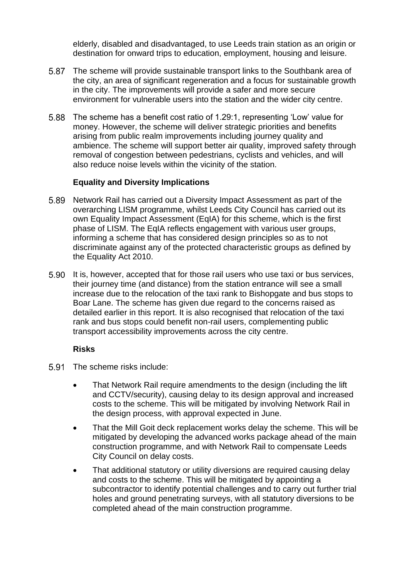elderly, disabled and disadvantaged, to use Leeds train station as an origin or destination for onward trips to education, employment, housing and leisure.

- The scheme will provide sustainable transport links to the Southbank area of the city, an area of significant regeneration and a focus for sustainable growth in the city. The improvements will provide a safer and more secure environment for vulnerable users into the station and the wider city centre.
- The scheme has a benefit cost ratio of 1.29:1, representing 'Low' value for money. However, the scheme will deliver strategic priorities and benefits arising from public realm improvements including journey quality and ambience. The scheme will support better air quality, improved safety through removal of congestion between pedestrians, cyclists and vehicles, and will also reduce noise levels within the vicinity of the station.

### **Equality and Diversity Implications**

- 5.89 Network Rail has carried out a Diversity Impact Assessment as part of the overarching LISM programme, whilst Leeds City Council has carried out its own Equality Impact Assessment (EqIA) for this scheme, which is the first phase of LISM. The EqIA reflects engagement with various user groups, informing a scheme that has considered design principles so as to not discriminate against any of the protected characteristic groups as defined by the Equality Act 2010.
- 5.90 It is, however, accepted that for those rail users who use taxi or bus services, their journey time (and distance) from the station entrance will see a small increase due to the relocation of the taxi rank to Bishopgate and bus stops to Boar Lane. The scheme has given due regard to the concerns raised as detailed earlier in this report. It is also recognised that relocation of the taxi rank and bus stops could benefit non-rail users, complementing public transport accessibility improvements across the city centre.

### **Risks**

- 5.91 The scheme risks include:
	- That Network Rail require amendments to the design (including the lift and CCTV/security), causing delay to its design approval and increased costs to the scheme. This will be mitigated by involving Network Rail in the design process, with approval expected in June.
	- That the Mill Goit deck replacement works delay the scheme. This will be mitigated by developing the advanced works package ahead of the main construction programme, and with Network Rail to compensate Leeds City Council on delay costs.
	- That additional statutory or utility diversions are required causing delay and costs to the scheme. This will be mitigated by appointing a subcontractor to identify potential challenges and to carry out further trial holes and ground penetrating surveys, with all statutory diversions to be completed ahead of the main construction programme.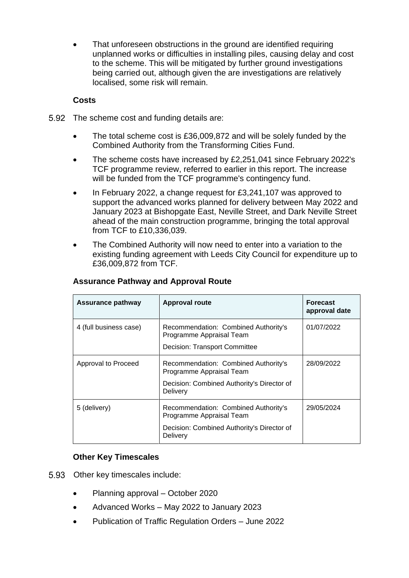That unforeseen obstructions in the ground are identified requiring unplanned works or difficulties in installing piles, causing delay and cost to the scheme. This will be mitigated by further ground investigations being carried out, although given the are investigations are relatively localised, some risk will remain.

## **Costs**

- 5.92 The scheme cost and funding details are:
	- The total scheme cost is £36,009,872 and will be solely funded by the Combined Authority from the Transforming Cities Fund.
	- The scheme costs have increased by £2,251,041 since February 2022's TCF programme review, referred to earlier in this report. The increase will be funded from the TCF programme's contingency fund.
	- In February 2022, a change request for £3,241,107 was approved to support the advanced works planned for delivery between May 2022 and January 2023 at Bishopgate East, Neville Street, and Dark Neville Street ahead of the main construction programme, bringing the total approval from TCF to £10,336,039.
	- The Combined Authority will now need to enter into a variation to the existing funding agreement with Leeds City Council for expenditure up to £36,009,872 from TCF.

| <b>Assurance pathway</b> | <b>Approval route</b>                                                                                                      | <b>Forecast</b><br>approval date |
|--------------------------|----------------------------------------------------------------------------------------------------------------------------|----------------------------------|
| 4 (full business case)   | Recommendation: Combined Authority's<br>Programme Appraisal Team<br>Decision: Transport Committee                          | 01/07/2022                       |
| Approval to Proceed      | Recommendation: Combined Authority's<br>Programme Appraisal Team<br>Decision: Combined Authority's Director of<br>Delivery | 28/09/2022                       |
| 5 (delivery)             | Recommendation: Combined Authority's<br>Programme Appraisal Team<br>Decision: Combined Authority's Director of<br>Delivery | 29/05/2024                       |

### **Assurance Pathway and Approval Route**

## **Other Key Timescales**

- 5.93 Other key timescales include:
	- Planning approval October 2020
	- Advanced Works May 2022 to January 2023
	- Publication of Traffic Regulation Orders June 2022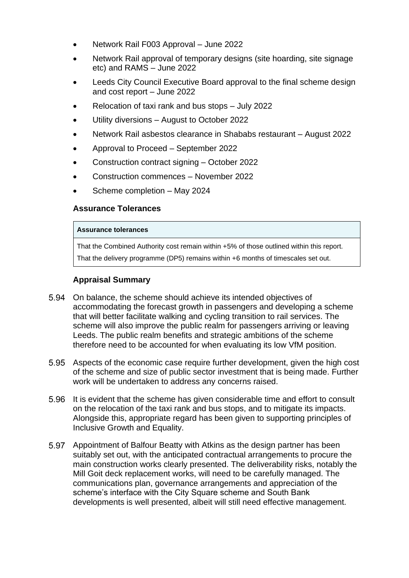- Network Rail F003 Approval June 2022
- Network Rail approval of temporary designs (site hoarding, site signage etc) and RAMS – June 2022
- Leeds City Council Executive Board approval to the final scheme design and cost report – June 2022
- Relocation of taxi rank and bus stops July 2022
- Utility diversions August to October 2022
- Network Rail asbestos clearance in Shababs restaurant August 2022
- Approval to Proceed September 2022
- Construction contract signing October 2022
- Construction commences November 2022
- Scheme completion May 2024

### **Assurance Tolerances**

#### **Assurance tolerances**

That the Combined Authority cost remain within +5% of those outlined within this report.

That the delivery programme (DP5) remains within +6 months of timescales set out.

### **Appraisal Summary**

- On balance, the scheme should achieve its intended objectives of accommodating the forecast growth in passengers and developing a scheme that will better facilitate walking and cycling transition to rail services. The scheme will also improve the public realm for passengers arriving or leaving Leeds. The public realm benefits and strategic ambitions of the scheme therefore need to be accounted for when evaluating its low VfM position.
- Aspects of the economic case require further development, given the high cost of the scheme and size of public sector investment that is being made. Further work will be undertaken to address any concerns raised.
- 5.96 It is evident that the scheme has given considerable time and effort to consult on the relocation of the taxi rank and bus stops, and to mitigate its impacts. Alongside this, appropriate regard has been given to supporting principles of Inclusive Growth and Equality.
- Appointment of Balfour Beatty with Atkins as the design partner has been suitably set out, with the anticipated contractual arrangements to procure the main construction works clearly presented. The deliverability risks, notably the Mill Goit deck replacement works, will need to be carefully managed. The communications plan, governance arrangements and appreciation of the scheme's interface with the City Square scheme and South Bank developments is well presented, albeit will still need effective management.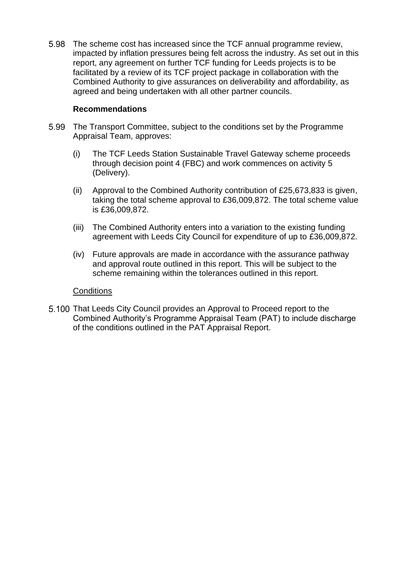5.98 The scheme cost has increased since the TCF annual programme review, impacted by inflation pressures being felt across the industry. As set out in this report, any agreement on further TCF funding for Leeds projects is to be facilitated by a review of its TCF project package in collaboration with the Combined Authority to give assurances on deliverability and affordability, as agreed and being undertaken with all other partner councils.

### **Recommendations**

- The Transport Committee, subject to the conditions set by the Programme Appraisal Team, approves:
	- (i) The TCF Leeds Station Sustainable Travel Gateway scheme proceeds through decision point 4 (FBC) and work commences on activity 5 (Delivery).
	- (ii) Approval to the Combined Authority contribution of £25,673,833 is given, taking the total scheme approval to £36,009,872. The total scheme value is £36,009,872.
	- (iii) The Combined Authority enters into a variation to the existing funding agreement with Leeds City Council for expenditure of up to £36,009,872.
	- (iv) Future approvals are made in accordance with the assurance pathway and approval route outlined in this report. This will be subject to the scheme remaining within the tolerances outlined in this report.

#### **Conditions**

5.100 That Leeds City Council provides an Approval to Proceed report to the Combined Authority's Programme Appraisal Team (PAT) to include discharge of the conditions outlined in the PAT Appraisal Report.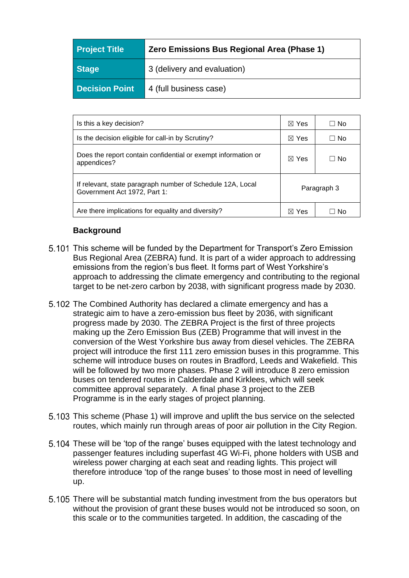| <b>Project Title</b>  | Zero Emissions Bus Regional Area (Phase 1) |  |
|-----------------------|--------------------------------------------|--|
| <b>Stage</b>          | 3 (delivery and evaluation)                |  |
| <b>Decision Point</b> | 4 (full business case)                     |  |

| Is this a key decision?                                                                    | $\boxtimes$ Yes | □ No |
|--------------------------------------------------------------------------------------------|-----------------|------|
| Is the decision eligible for call-in by Scrutiny?                                          | $\boxtimes$ Yes | ⊟ No |
| Does the report contain confidential or exempt information or<br>appendices?               | $\boxtimes$ Yes | ⊟ No |
| If relevant, state paragraph number of Schedule 12A, Local<br>Government Act 1972, Part 1: | Paragraph 3     |      |
| Are there implications for equality and diversity?<br>$\boxtimes$ Yes                      |                 |      |

# **Background**

- 5.101 This scheme will be funded by the Department for Transport's Zero Emission Bus Regional Area (ZEBRA) fund. It is part of a wider approach to addressing emissions from the region's bus fleet. It forms part of West Yorkshire's approach to addressing the climate emergency and contributing to the regional target to be net-zero carbon by 2038, with significant progress made by 2030.
- 5.102 The Combined Authority has declared a climate emergency and has a strategic aim to have a zero-emission bus fleet by 2036, with significant progress made by 2030. The ZEBRA Project is the first of three projects making up the Zero Emission Bus (ZEB) Programme that will invest in the conversion of the West Yorkshire bus away from diesel vehicles. The ZEBRA project will introduce the first 111 zero emission buses in this programme. This scheme will introduce buses on routes in Bradford, Leeds and Wakefield. This will be followed by two more phases. Phase 2 will introduce 8 zero emission buses on tendered routes in Calderdale and Kirklees, which will seek committee approval separately. A final phase 3 project to the ZEB Programme is in the early stages of project planning.
- 5.103 This scheme (Phase 1) will improve and uplift the bus service on the selected routes, which mainly run through areas of poor air pollution in the City Region.
- 5.104 These will be 'top of the range' buses equipped with the latest technology and passenger features including superfast 4G Wi-Fi, phone holders with USB and wireless power charging at each seat and reading lights. This project will therefore introduce 'top of the range buses' to those most in need of levelling up.
- 5.105 There will be substantial match funding investment from the bus operators but without the provision of grant these buses would not be introduced so soon, on this scale or to the communities targeted. In addition, the cascading of the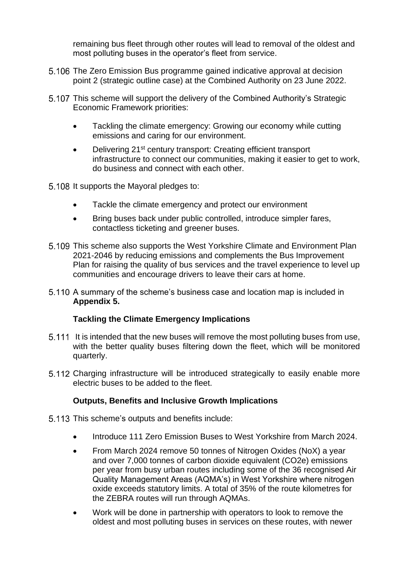remaining bus fleet through other routes will lead to removal of the oldest and most polluting buses in the operator's fleet from service.

- 5.106 The Zero Emission Bus programme gained indicative approval at decision point 2 (strategic outline case) at the Combined Authority on 23 June 2022.
- 5.107 This scheme will support the delivery of the Combined Authority's Strategic Economic Framework priorities:
	- Tackling the climate emergency: Growing our economy while cutting emissions and caring for our environment.
	- Delivering 21<sup>st</sup> century transport: Creating efficient transport infrastructure to connect our communities, making it easier to get to work, do business and connect with each other.
- 5.108 It supports the Mayoral pledges to:
	- Tackle the climate emergency and protect our environment
	- Bring buses back under public controlled, introduce simpler fares, contactless ticketing and greener buses.
- 5.109 This scheme also supports the West Yorkshire Climate and Environment Plan 2021-2046 by reducing emissions and complements the Bus Improvement Plan for raising the quality of bus services and the travel experience to level up communities and encourage drivers to leave their cars at home.
- 5.110 A summary of the scheme's business case and location map is included in **Appendix 5.**

## **Tackling the Climate Emergency Implications**

- 5.111 It is intended that the new buses will remove the most polluting buses from use, with the better quality buses filtering down the fleet, which will be monitored quarterly.
- Charging infrastructure will be introduced strategically to easily enable more electric buses to be added to the fleet.

## **Outputs, Benefits and Inclusive Growth Implications**

- 5.113 This scheme's outputs and benefits include:
	- Introduce 111 Zero Emission Buses to West Yorkshire from March 2024.
	- From March 2024 remove 50 tonnes of Nitrogen Oxides (NoX) a year and over 7,000 tonnes of carbon dioxide equivalent (CO2e) emissions per year from busy urban routes including some of the 36 recognised Air Quality Management Areas (AQMA's) in West Yorkshire where nitrogen oxide exceeds statutory limits. A total of 35% of the route kilometres for the ZEBRA routes will run through AQMAs.
	- Work will be done in partnership with operators to look to remove the oldest and most polluting buses in services on these routes, with newer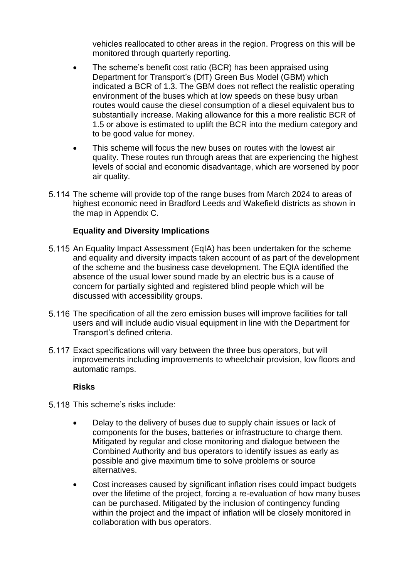vehicles reallocated to other areas in the region. Progress on this will be monitored through quarterly reporting.

- The scheme's benefit cost ratio (BCR) has been appraised using Department for Transport's (DfT) Green Bus Model (GBM) which indicated a BCR of 1.3. The GBM does not reflect the realistic operating environment of the buses which at low speeds on these busy urban routes would cause the diesel consumption of a diesel equivalent bus to substantially increase. Making allowance for this a more realistic BCR of 1.5 or above is estimated to uplift the BCR into the medium category and to be good value for money.
- This scheme will focus the new buses on routes with the lowest air quality. These routes run through areas that are experiencing the highest levels of social and economic disadvantage, which are worsened by poor air quality.
- 5.114 The scheme will provide top of the range buses from March 2024 to areas of highest economic need in Bradford Leeds and Wakefield districts as shown in the map in Appendix C.

### **Equality and Diversity Implications**

- 5.115 An Equality Impact Assessment (EqIA) has been undertaken for the scheme and equality and diversity impacts taken account of as part of the development of the scheme and the business case development. The EQIA identified the absence of the usual lower sound made by an electric bus is a cause of concern for partially sighted and registered blind people which will be discussed with accessibility groups.
- The specification of all the zero emission buses will improve facilities for tall users and will include audio visual equipment in line with the Department for Transport's defined criteria.
- Exact specifications will vary between the three bus operators, but will improvements including improvements to wheelchair provision, low floors and automatic ramps.

#### **Risks**

- 5.118 This scheme's risks include:
	- Delay to the delivery of buses due to supply chain issues or lack of components for the buses, batteries or infrastructure to charge them. Mitigated by regular and close monitoring and dialogue between the Combined Authority and bus operators to identify issues as early as possible and give maximum time to solve problems or source alternatives.
	- Cost increases caused by significant inflation rises could impact budgets over the lifetime of the project, forcing a re-evaluation of how many buses can be purchased. Mitigated by the inclusion of contingency funding within the project and the impact of inflation will be closely monitored in collaboration with bus operators.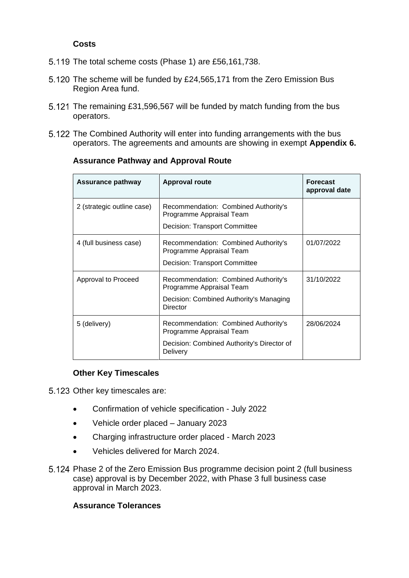### **Costs**

- $5.119$  The total scheme costs (Phase 1) are £56,161,738.
- 5.120 The scheme will be funded by £24,565,171 from the Zero Emission Bus Region Area fund.
- 5.121 The remaining £31,596,567 will be funded by match funding from the bus operators.
- 5.122 The Combined Authority will enter into funding arrangements with the bus operators. The agreements and amounts are showing in exempt **Appendix 6.**

| <b>Assurance pathway</b>   | <b>Approval route</b>                                                                                                      | <b>Forecast</b><br>approval date |
|----------------------------|----------------------------------------------------------------------------------------------------------------------------|----------------------------------|
| 2 (strategic outline case) | Recommendation: Combined Authority's<br>Programme Appraisal Team<br>Decision: Transport Committee                          |                                  |
| 4 (full business case)     | Recommendation: Combined Authority's<br>Programme Appraisal Team<br>Decision: Transport Committee                          | 01/07/2022                       |
| Approval to Proceed        | Recommendation: Combined Authority's<br>Programme Appraisal Team<br>Decision: Combined Authority's Managing<br>Director    | 31/10/2022                       |
| 5 (delivery)               | Recommendation: Combined Authority's<br>Programme Appraisal Team<br>Decision: Combined Authority's Director of<br>Delivery | 28/06/2024                       |

### **Assurance Pathway and Approval Route**

### **Other Key Timescales**

5.123 Other key timescales are:

- Confirmation of vehicle specification July 2022
- Vehicle order placed January 2023
- Charging infrastructure order placed March 2023
- Vehicles delivered for March 2024.
- Phase 2 of the Zero Emission Bus programme decision point 2 (full business case) approval is by December 2022, with Phase 3 full business case approval in March 2023.

### **Assurance Tolerances**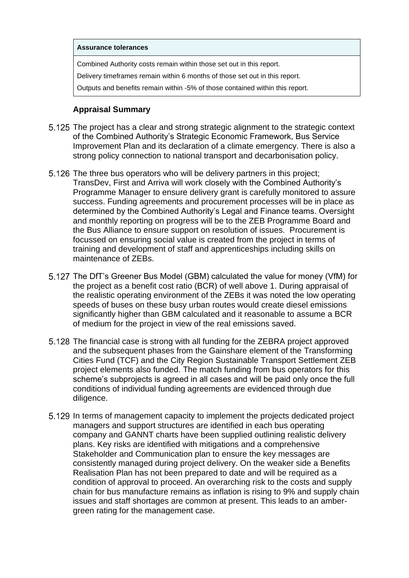#### **Assurance tolerances**

Combined Authority costs remain within those set out in this report.

Delivery timeframes remain within 6 months of those set out in this report.

Outputs and benefits remain within -5% of those contained within this report.

### **Appraisal Summary**

- 5.125 The project has a clear and strong strategic alignment to the strategic context of the Combined Authority's Strategic Economic Framework, Bus Service Improvement Plan and its declaration of a climate emergency. There is also a strong policy connection to national transport and decarbonisation policy.
- 5.126 The three bus operators who will be delivery partners in this project; TransDev, First and Arriva will work closely with the Combined Authority's Programme Manager to ensure delivery grant is carefully monitored to assure success. Funding agreements and procurement processes will be in place as determined by the Combined Authority's Legal and Finance teams. Oversight and monthly reporting on progress will be to the ZEB Programme Board and the Bus Alliance to ensure support on resolution of issues. Procurement is focussed on ensuring social value is created from the project in terms of training and development of staff and apprenticeships including skills on maintenance of ZEBs.
- 5.127 The DfT's Greener Bus Model (GBM) calculated the value for money (VfM) for the project as a benefit cost ratio (BCR) of well above 1. During appraisal of the realistic operating environment of the ZEBs it was noted the low operating speeds of buses on these busy urban routes would create diesel emissions significantly higher than GBM calculated and it reasonable to assume a BCR of medium for the project in view of the real emissions saved.
- 5.128 The financial case is strong with all funding for the ZEBRA project approved and the subsequent phases from the Gainshare element of the Transforming Cities Fund (TCF) and the City Region Sustainable Transport Settlement ZEB project elements also funded. The match funding from bus operators for this scheme's subprojects is agreed in all cases and will be paid only once the full conditions of individual funding agreements are evidenced through due diligence.
- In terms of management capacity to implement the projects dedicated project managers and support structures are identified in each bus operating company and GANNT charts have been supplied outlining realistic delivery plans. Key risks are identified with mitigations and a comprehensive Stakeholder and Communication plan to ensure the key messages are consistently managed during project delivery. On the weaker side a Benefits Realisation Plan has not been prepared to date and will be required as a condition of approval to proceed. An overarching risk to the costs and supply chain for bus manufacture remains as inflation is rising to 9% and supply chain issues and staff shortages are common at present. This leads to an ambergreen rating for the management case.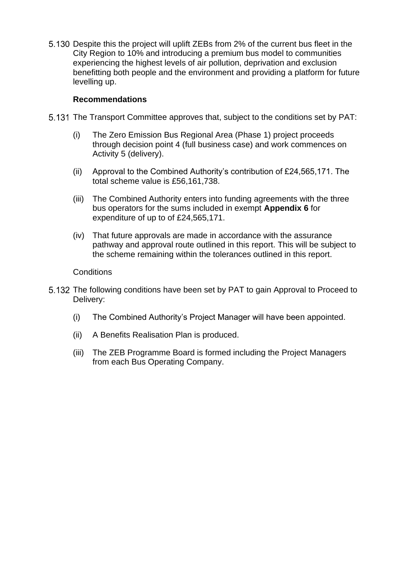Despite this the project will uplift ZEBs from 2% of the current bus fleet in the City Region to 10% and introducing a premium bus model to communities experiencing the highest levels of air pollution, deprivation and exclusion benefitting both people and the environment and providing a platform for future levelling up.

### **Recommendations**

- The Transport Committee approves that, subject to the conditions set by PAT:
	- (i) The Zero Emission Bus Regional Area (Phase 1) project proceeds through decision point 4 (full business case) and work commences on Activity 5 (delivery).
	- (ii) Approval to the Combined Authority's contribution of £24,565,171. The total scheme value is £56,161,738.
	- (iii) The Combined Authority enters into funding agreements with the three bus operators for the sums included in exempt **Appendix 6** for expenditure of up to of £24,565,171.
	- (iv) That future approvals are made in accordance with the assurance pathway and approval route outlined in this report. This will be subject to the scheme remaining within the tolerances outlined in this report.

### **Conditions**

- 5.132 The following conditions have been set by PAT to gain Approval to Proceed to Delivery:
	- (i) The Combined Authority's Project Manager will have been appointed.
	- (ii) A Benefits Realisation Plan is produced.
	- (iii) The ZEB Programme Board is formed including the Project Managers from each Bus Operating Company.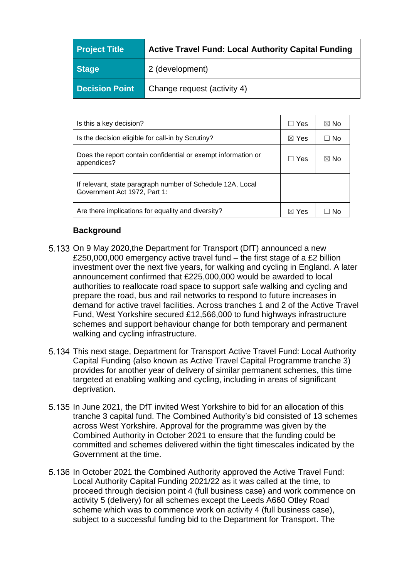| <b>Project Title</b>  | <b>Active Travel Fund: Local Authority Capital Funding</b> |
|-----------------------|------------------------------------------------------------|
| <b>Stage</b>          | 2 (development)                                            |
| <b>Decision Point</b> | Change request (activity 4)                                |

| Is this a key decision?                                                                    | □ Yes           | ⊠ No |
|--------------------------------------------------------------------------------------------|-----------------|------|
| Is the decision eligible for call-in by Scrutiny?                                          |                 | ∩ No |
| Does the report contain confidential or exempt information or<br>appendices?               | .∃ Yes          | ⊠ No |
| If relevant, state paragraph number of Schedule 12A, Local<br>Government Act 1972, Part 1: |                 |      |
| Are there implications for equality and diversity?                                         | $\boxtimes$ Yes | N٥   |

## **Background**

- 5.133 On 9 May 2020, the Department for Transport (DfT) announced a new £250,000,000 emergency active travel fund – the first stage of a £2 billion investment over the next five years, for walking and cycling in England. A later announcement confirmed that £225,000,000 would be awarded to local authorities to reallocate road space to support safe walking and cycling and prepare the road, bus and rail networks to respond to future increases in demand for active travel facilities. Across tranches 1 and 2 of the Active Travel Fund, West Yorkshire secured £12,566,000 to fund highways infrastructure schemes and support behaviour change for both temporary and permanent walking and cycling infrastructure.
- This next stage, Department for Transport Active Travel Fund: Local Authority Capital Funding (also known as Active Travel Capital Programme tranche 3) provides for another year of delivery of similar permanent schemes, this time targeted at enabling walking and cycling, including in areas of significant deprivation.
- 5.135 In June 2021, the DfT invited West Yorkshire to bid for an allocation of this tranche 3 capital fund. The Combined Authority's bid consisted of 13 schemes across West Yorkshire. Approval for the programme was given by the Combined Authority in October 2021 to ensure that the funding could be committed and schemes delivered within the tight timescales indicated by the Government at the time.
- 5.136 In October 2021 the Combined Authority approved the Active Travel Fund: Local Authority Capital Funding 2021/22 as it was called at the time, to proceed through decision point 4 (full business case) and work commence on activity 5 (delivery) for all schemes except the Leeds A660 Otley Road scheme which was to commence work on activity 4 (full business case), subject to a successful funding bid to the Department for Transport. The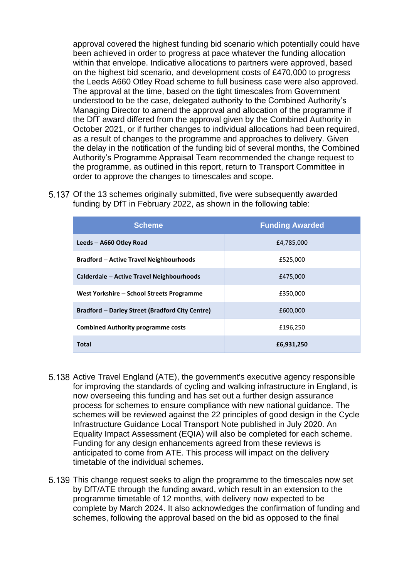approval covered the highest funding bid scenario which potentially could have been achieved in order to progress at pace whatever the funding allocation within that envelope. Indicative allocations to partners were approved, based on the highest bid scenario, and development costs of £470,000 to progress the Leeds A660 Otley Road scheme to full business case were also approved. The approval at the time, based on the tight timescales from Government understood to be the case, delegated authority to the Combined Authority's Managing Director to amend the approval and allocation of the programme if the DfT award differed from the approval given by the Combined Authority in October 2021, or if further changes to individual allocations had been required, as a result of changes to the programme and approaches to delivery. Given the delay in the notification of the funding bid of several months, the Combined Authority's Programme Appraisal Team recommended the change request to the programme, as outlined in this report, return to Transport Committee in order to approve the changes to timescales and scope.

5.137 Of the 13 schemes originally submitted, five were subsequently awarded funding by DfT in February 2022, as shown in the following table:

| <b>Scheme</b>                                          | <b>Funding Awarded</b> |
|--------------------------------------------------------|------------------------|
| Leeds - A660 Otley Road                                | £4.785.000             |
| <b>Bradford – Active Travel Neighbourhoods</b>         | £525,000               |
| Calderdale – Active Travel Neighbourhoods              | £475,000               |
| West Yorkshire – School Streets Programme              | £350,000               |
| <b>Bradford – Darley Street (Bradford City Centre)</b> | £600,000               |
| <b>Combined Authority programme costs</b>              | £196,250               |
| <b>Total</b>                                           | £6,931,250             |

- 5.138 Active Travel England (ATE), the government's executive agency responsible for improving the standards of cycling and walking infrastructure in England, is now overseeing this funding and has set out a further design assurance process for schemes to ensure compliance with new national guidance. The schemes will be reviewed against the 22 principles of good design in the Cycle Infrastructure Guidance Local Transport Note published in July 2020. An Equality Impact Assessment (EQIA) will also be completed for each scheme. Funding for any design enhancements agreed from these reviews is anticipated to come from ATE. This process will impact on the delivery timetable of the individual schemes.
- This change request seeks to align the programme to the timescales now set by DfT/ATE through the funding award, which result in an extension to the programme timetable of 12 months, with delivery now expected to be complete by March 2024. It also acknowledges the confirmation of funding and schemes, following the approval based on the bid as opposed to the final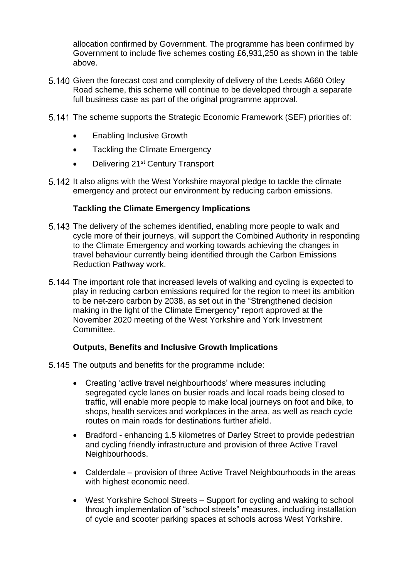allocation confirmed by Government. The programme has been confirmed by Government to include five schemes costing £6,931,250 as shown in the table above.

- Given the forecast cost and complexity of delivery of the Leeds A660 Otley Road scheme, this scheme will continue to be developed through a separate full business case as part of the original programme approval.
- The scheme supports the Strategic Economic Framework (SEF) priorities of:
	- Enabling Inclusive Growth
	- Tackling the Climate Emergency
	- Delivering 21<sup>st</sup> Century Transport
- 5.142 It also aligns with the West Yorkshire mayoral pledge to tackle the climate emergency and protect our environment by reducing carbon emissions.

### **Tackling the Climate Emergency Implications**

- The delivery of the schemes identified, enabling more people to walk and cycle more of their journeys, will support the Combined Authority in responding to the Climate Emergency and working towards achieving the changes in travel behaviour currently being identified through the Carbon Emissions Reduction Pathway work.
- The important role that increased levels of walking and cycling is expected to play in reducing carbon emissions required for the region to meet its ambition to be net-zero carbon by 2038, as set out in the "Strengthened decision making in the light of the Climate Emergency" report approved at the November 2020 meeting of the West Yorkshire and York Investment **Committee.**

### **Outputs, Benefits and Inclusive Growth Implications**

- 5.145 The outputs and benefits for the programme include:
	- Creating 'active travel neighbourhoods' where measures including segregated cycle lanes on busier roads and local roads being closed to traffic, will enable more people to make local journeys on foot and bike, to shops, health services and workplaces in the area, as well as reach cycle routes on main roads for destinations further afield.
	- Bradford enhancing 1.5 kilometres of Darley Street to provide pedestrian and cycling friendly infrastructure and provision of three Active Travel Neighbourhoods.
	- Calderdale provision of three Active Travel Neighbourhoods in the areas with highest economic need.
	- West Yorkshire School Streets Support for cycling and waking to school through implementation of "school streets" measures, including installation of cycle and scooter parking spaces at schools across West Yorkshire.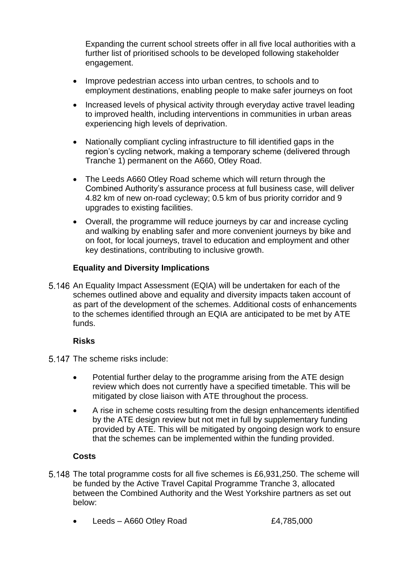Expanding the current school streets offer in all five local authorities with a further list of prioritised schools to be developed following stakeholder engagement.

- Improve pedestrian access into urban centres, to schools and to employment destinations, enabling people to make safer journeys on foot
- Increased levels of physical activity through everyday active travel leading to improved health, including interventions in communities in urban areas experiencing high levels of deprivation.
- Nationally compliant cycling infrastructure to fill identified gaps in the region's cycling network, making a temporary scheme (delivered through Tranche 1) permanent on the A660, Otley Road.
- The Leeds A660 Otley Road scheme which will return through the Combined Authority's assurance process at full business case, will deliver 4.82 km of new on-road cycleway; 0.5 km of bus priority corridor and 9 upgrades to existing facilities.
- Overall, the programme will reduce journeys by car and increase cycling and walking by enabling safer and more convenient journeys by bike and on foot, for local journeys, travel to education and employment and other key destinations, contributing to inclusive growth.

# **Equality and Diversity Implications**

5.146 An Equality Impact Assessment (EQIA) will be undertaken for each of the schemes outlined above and equality and diversity impacts taken account of as part of the development of the schemes. Additional costs of enhancements to the schemes identified through an EQIA are anticipated to be met by ATE funds.

## **Risks**

- 5.147 The scheme risks include:
	- Potential further delay to the programme arising from the ATE design review which does not currently have a specified timetable. This will be mitigated by close liaison with ATE throughout the process.
	- A rise in scheme costs resulting from the design enhancements identified by the ATE design review but not met in full by supplementary funding provided by ATE. This will be mitigated by ongoing design work to ensure that the schemes can be implemented within the funding provided.

# **Costs**

- 5.148 The total programme costs for all five schemes is £6,931,250. The scheme will be funded by the Active Travel Capital Programme Tranche 3, allocated between the Combined Authority and the West Yorkshire partners as set out below:
	- Leeds A660 Otley Road  $£4,785,000$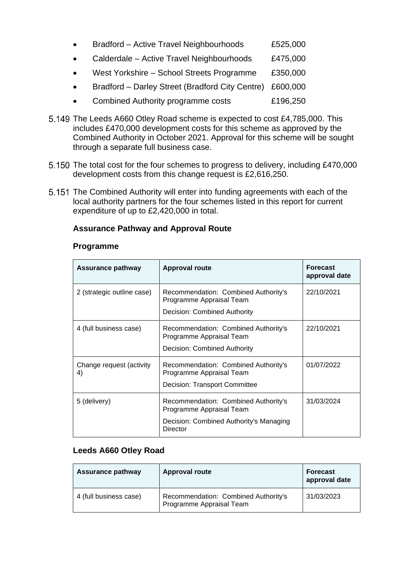| Bradford - Active Travel Neighbourhoods         | £525,000 |
|-------------------------------------------------|----------|
| Calderdale - Active Travel Neighbourhoods       | £475,000 |
| West Yorkshire - School Streets Programme       | £350,000 |
| Bradford - Darley Street (Bradford City Centre) | £600,000 |
| <b>Combined Authority programme costs</b>       | £196,250 |

- 5.149 The Leeds A660 Otley Road scheme is expected to cost £4,785,000. This includes £470,000 development costs for this scheme as approved by the Combined Authority in October 2021. Approval for this scheme will be sought through a separate full business case.
- 5.150 The total cost for the four schemes to progress to delivery, including £470,000 development costs from this change request is £2,616,250.
- 5.151 The Combined Authority will enter into funding agreements with each of the local authority partners for the four schemes listed in this report for current expenditure of up to £2,420,000 in total.

### **Assurance Pathway and Approval Route**

#### **Programme**

| Assurance pathway              | <b>Approval route</b>                                                                                                   | <b>Forecast</b><br>approval date |
|--------------------------------|-------------------------------------------------------------------------------------------------------------------------|----------------------------------|
| 2 (strategic outline case)     | Recommendation: Combined Authority's<br>Programme Appraisal Team<br>Decision: Combined Authority                        | 22/10/2021                       |
| 4 (full business case)         | Recommendation: Combined Authority's<br>Programme Appraisal Team<br>Decision: Combined Authority                        | 22/10/2021                       |
| Change request (activity<br>4) | Recommendation: Combined Authority's<br>Programme Appraisal Team<br>Decision: Transport Committee                       | 01/07/2022                       |
| 5 (delivery)                   | Recommendation: Combined Authority's<br>Programme Appraisal Team<br>Decision: Combined Authority's Managing<br>Director | 31/03/2024                       |

### **Leeds A660 Otley Road**

| <b>Assurance pathway</b> | <b>Approval route</b>                                            | <b>Forecast</b><br>approval date |
|--------------------------|------------------------------------------------------------------|----------------------------------|
| 4 (full business case)   | Recommendation: Combined Authority's<br>Programme Appraisal Team | 31/03/2023                       |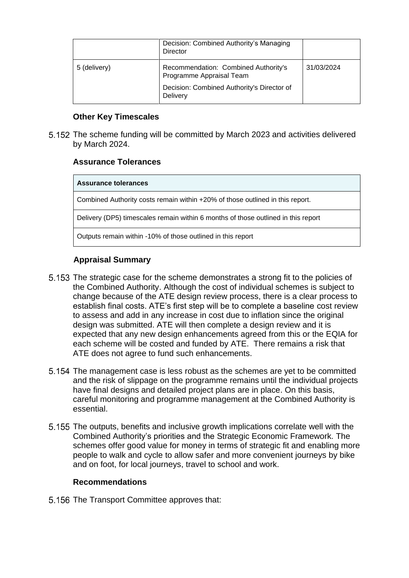|              | Decision: Combined Authority's Managing<br><b>Director</b>                                                                 |            |
|--------------|----------------------------------------------------------------------------------------------------------------------------|------------|
| 5 (delivery) | Recommendation: Combined Authority's<br>Programme Appraisal Team<br>Decision: Combined Authority's Director of<br>Delivery | 31/03/2024 |

### **Other Key Timescales**

The scheme funding will be committed by March 2023 and activities delivered by March 2024.

## **Assurance Tolerances**

**Assurance tolerances** Combined Authority costs remain within +20% of those outlined in this report. Delivery (DP5) timescales remain within 6 months of those outlined in this report Outputs remain within -10% of those outlined in this report

### **Appraisal Summary**

- The strategic case for the scheme demonstrates a strong fit to the policies of the Combined Authority. Although the cost of individual schemes is subject to change because of the ATE design review process, there is a clear process to establish final costs. ATE's first step will be to complete a baseline cost review to assess and add in any increase in cost due to inflation since the original design was submitted. ATE will then complete a design review and it is expected that any new design enhancements agreed from this or the EQIA for each scheme will be costed and funded by ATE. There remains a risk that ATE does not agree to fund such enhancements.
- 5.154 The management case is less robust as the schemes are yet to be committed and the risk of slippage on the programme remains until the individual projects have final designs and detailed project plans are in place. On this basis, careful monitoring and programme management at the Combined Authority is essential.
- 5.155 The outputs, benefits and inclusive growth implications correlate well with the Combined Authority's priorities and the Strategic Economic Framework. The schemes offer good value for money in terms of strategic fit and enabling more people to walk and cycle to allow safer and more convenient journeys by bike and on foot, for local journeys, travel to school and work.

### **Recommendations**

5.156 The Transport Committee approves that: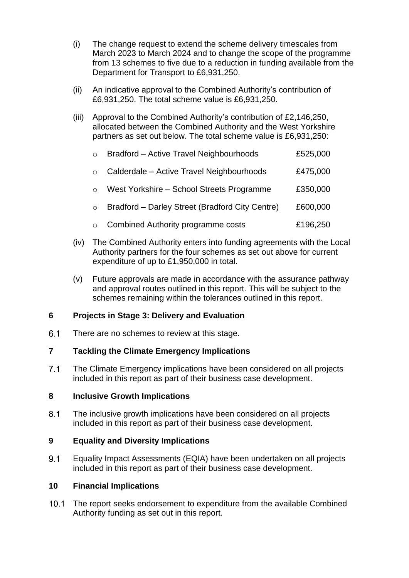- (i) The change request to extend the scheme delivery timescales from March 2023 to March 2024 and to change the scope of the programme from 13 schemes to five due to a reduction in funding available from the Department for Transport to £6,931,250.
- (ii) An indicative approval to the Combined Authority's contribution of £6,931,250. The total scheme value is £6,931,250.
- (iii) Approval to the Combined Authority's contribution of £2,146,250, allocated between the Combined Authority and the West Yorkshire partners as set out below. The total scheme value is £6,931,250:

| $\circ$  | Bradford - Active Travel Neighbourhoods         | £525,000 |
|----------|-------------------------------------------------|----------|
|          | Calderdale - Active Travel Neighbourhoods       | £475,000 |
|          | West Yorkshire - School Streets Programme       | £350,000 |
| $\Omega$ | Bradford - Darley Street (Bradford City Centre) | £600,000 |
|          | Combined Authority programme costs              | £196,250 |

- (iv) The Combined Authority enters into funding agreements with the Local Authority partners for the four schemes as set out above for current expenditure of up to £1,950,000 in total.
- (v) Future approvals are made in accordance with the assurance pathway and approval routes outlined in this report. This will be subject to the schemes remaining within the tolerances outlined in this report.

## **6 Projects in Stage 3: Delivery and Evaluation**

6.1 There are no schemes to review at this stage.

## **7 Tackling the Climate Emergency Implications**

 $7.1$ The Climate Emergency implications have been considered on all projects included in this report as part of their business case development.

## **8 Inclusive Growth Implications**

 $8.1$ The inclusive growth implications have been considered on all projects included in this report as part of their business case development.

## **9 Equality and Diversity Implications**

9.1 Equality Impact Assessments (EQIA) have been undertaken on all projects included in this report as part of their business case development.

## **10 Financial Implications**

 $10.1$ The report seeks endorsement to expenditure from the available Combined Authority funding as set out in this report.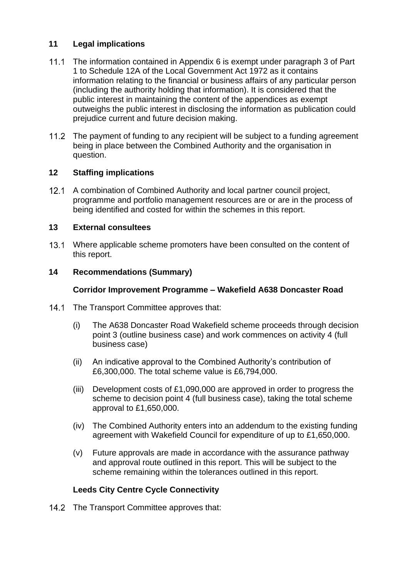## **11 Legal implications**

- The information contained in Appendix 6 is exempt under paragraph 3 of Part 1 to Schedule 12A of the Local Government Act 1972 as it contains information relating to the financial or business affairs of any particular person (including the authority holding that information). It is considered that the public interest in maintaining the content of the appendices as exempt outweighs the public interest in disclosing the information as publication could prejudice current and future decision making.
- 11.2 The payment of funding to any recipient will be subject to a funding agreement being in place between the Combined Authority and the organisation in question.

# **12 Staffing implications**

12.1 A combination of Combined Authority and local partner council project, programme and portfolio management resources are or are in the process of being identified and costed for within the schemes in this report.

## **13 External consultees**

13.1 Where applicable scheme promoters have been consulted on the content of this report.

## **14 Recommendations (Summary)**

## **Corridor Improvement Programme – Wakefield A638 Doncaster Road**

- $14.1$ The Transport Committee approves that:
	- (i) The A638 Doncaster Road Wakefield scheme proceeds through decision point 3 (outline business case) and work commences on activity 4 (full business case)
	- (ii) An indicative approval to the Combined Authority's contribution of £6,300,000. The total scheme value is £6,794,000.
	- (iii) Development costs of £1,090,000 are approved in order to progress the scheme to decision point 4 (full business case), taking the total scheme approval to £1,650,000.
	- (iv) The Combined Authority enters into an addendum to the existing funding agreement with Wakefield Council for expenditure of up to £1,650,000.
	- (v) Future approvals are made in accordance with the assurance pathway and approval route outlined in this report. This will be subject to the scheme remaining within the tolerances outlined in this report.

# **Leeds City Centre Cycle Connectivity**

14.2 The Transport Committee approves that: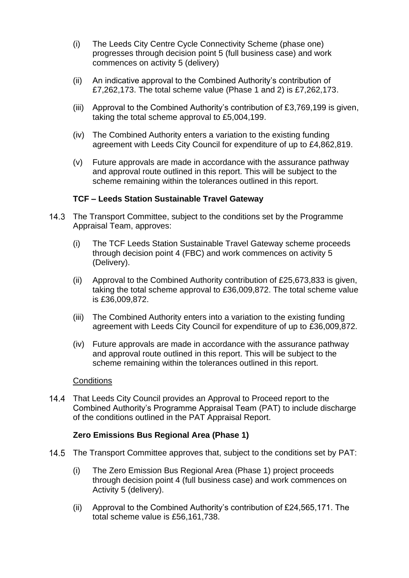- (i) The Leeds City Centre Cycle Connectivity Scheme (phase one) progresses through decision point 5 (full business case) and work commences on activity 5 (delivery)
- (ii) An indicative approval to the Combined Authority's contribution of £7,262,173. The total scheme value (Phase 1 and 2) is £7,262,173.
- (iii) Approval to the Combined Authority's contribution of £3,769,199 is given, taking the total scheme approval to £5,004,199.
- (iv) The Combined Authority enters a variation to the existing funding agreement with Leeds City Council for expenditure of up to £4,862,819.
- (v) Future approvals are made in accordance with the assurance pathway and approval route outlined in this report. This will be subject to the scheme remaining within the tolerances outlined in this report.

### **TCF – Leeds Station Sustainable Travel Gateway**

- 14.3 The Transport Committee, subject to the conditions set by the Programme Appraisal Team, approves:
	- (i) The TCF Leeds Station Sustainable Travel Gateway scheme proceeds through decision point 4 (FBC) and work commences on activity 5 (Delivery).
	- (ii) Approval to the Combined Authority contribution of £25,673,833 is given, taking the total scheme approval to £36,009,872. The total scheme value is £36,009,872.
	- (iii) The Combined Authority enters into a variation to the existing funding agreement with Leeds City Council for expenditure of up to £36,009,872.
	- (iv) Future approvals are made in accordance with the assurance pathway and approval route outlined in this report. This will be subject to the scheme remaining within the tolerances outlined in this report.

#### **Conditions**

That Leeds City Council provides an Approval to Proceed report to the Combined Authority's Programme Appraisal Team (PAT) to include discharge of the conditions outlined in the PAT Appraisal Report.

### **Zero Emissions Bus Regional Area (Phase 1)**

- The Transport Committee approves that, subject to the conditions set by PAT:
	- (i) The Zero Emission Bus Regional Area (Phase 1) project proceeds through decision point 4 (full business case) and work commences on Activity 5 (delivery).
	- (ii) Approval to the Combined Authority's contribution of £24,565,171. The total scheme value is £56,161,738.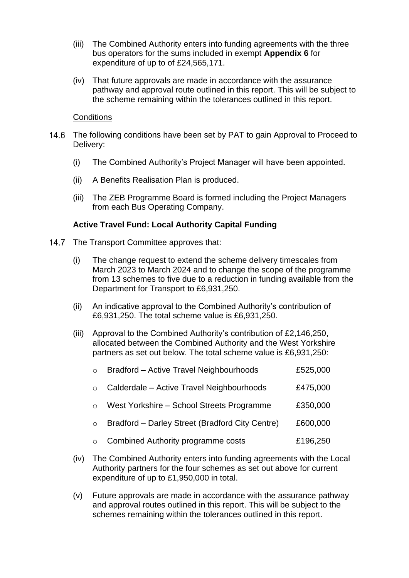- (iii) The Combined Authority enters into funding agreements with the three bus operators for the sums included in exempt **Appendix 6** for expenditure of up to of £24,565,171.
- (iv) That future approvals are made in accordance with the assurance pathway and approval route outlined in this report. This will be subject to the scheme remaining within the tolerances outlined in this report.

### **Conditions**

- $14.6$ The following conditions have been set by PAT to gain Approval to Proceed to Delivery:
	- (i) The Combined Authority's Project Manager will have been appointed.
	- (ii) A Benefits Realisation Plan is produced.
	- (iii) The ZEB Programme Board is formed including the Project Managers from each Bus Operating Company.

### **Active Travel Fund: Local Authority Capital Funding**

- 14.7 The Transport Committee approves that:
	- (i) The change request to extend the scheme delivery timescales from March 2023 to March 2024 and to change the scope of the programme from 13 schemes to five due to a reduction in funding available from the Department for Transport to £6,931,250.
	- (ii) An indicative approval to the Combined Authority's contribution of £6,931,250. The total scheme value is £6,931,250.
	- (iii) Approval to the Combined Authority's contribution of £2,146,250, allocated between the Combined Authority and the West Yorkshire partners as set out below. The total scheme value is £6,931,250:

| $\circ$  | Bradford - Active Travel Neighbourhoods         | £525,000 |
|----------|-------------------------------------------------|----------|
|          | Calderdale - Active Travel Neighbourhoods       | £475,000 |
|          | West Yorkshire - School Streets Programme       | £350,000 |
| $\Omega$ | Bradford - Darley Street (Bradford City Centre) | £600,000 |
|          | Combined Authority programme costs              | £196,250 |

- (iv) The Combined Authority enters into funding agreements with the Local Authority partners for the four schemes as set out above for current expenditure of up to £1,950,000 in total.
- (v) Future approvals are made in accordance with the assurance pathway and approval routes outlined in this report. This will be subject to the schemes remaining within the tolerances outlined in this report.